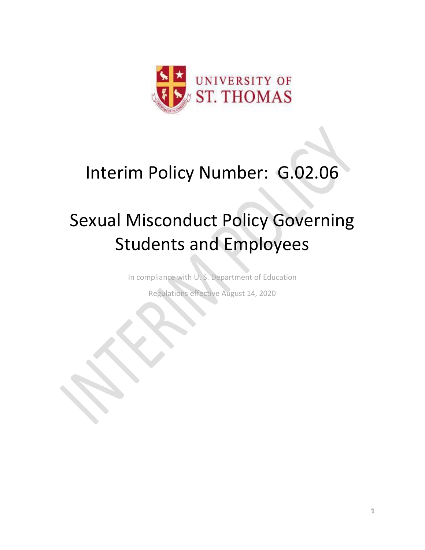

# Interim Policy Number: G.02.06

# Sexual Misconduct Policy Governing Students and Employees

In compliance with U. S. Department of Education

Regulations effective August 14, 2020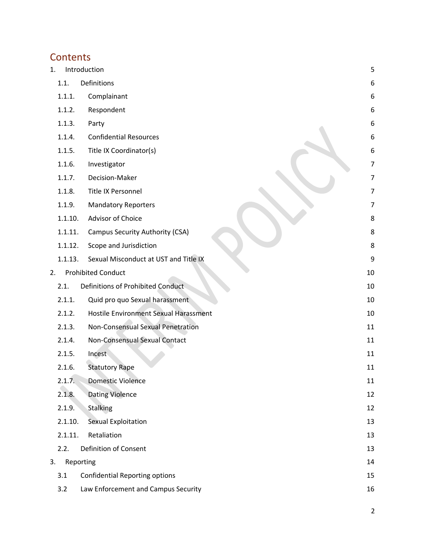# **Contents**

| 1. |         | Introduction                          | 5              |
|----|---------|---------------------------------------|----------------|
|    | 1.1.    | Definitions                           | 6              |
|    | 1.1.1.  | Complainant                           | 6              |
|    | 1.1.2.  | Respondent                            | 6              |
|    | 1.1.3.  | Party                                 | 6              |
|    | 1.1.4.  | <b>Confidential Resources</b>         | 6              |
|    | 1.1.5.  | Title IX Coordinator(s)               | 6              |
|    | 1.1.6.  | Investigator                          | 7              |
|    | 1.1.7.  | Decision-Maker                        | $\overline{7}$ |
|    | 1.1.8.  | Title IX Personnel                    | $\overline{7}$ |
|    | 1.1.9.  | <b>Mandatory Reporters</b>            | 7              |
|    | 1.1.10. | Advisor of Choice                     | 8              |
|    | 1.1.11. | Campus Security Authority (CSA)       | 8              |
|    | 1.1.12. | Scope and Jurisdiction                | 8              |
|    | 1.1.13. | Sexual Misconduct at UST and Title IX | 9              |
| 2. |         | <b>Prohibited Conduct</b>             | 10             |
|    | 2.1.    | Definitions of Prohibited Conduct     | 10             |
|    | 2.1.1.  | Quid pro quo Sexual harassment        | 10             |
|    | 2.1.2.  | Hostile Environment Sexual Harassment | 10             |
|    | 2.1.3.  | Non-Consensual Sexual Penetration     | 11             |
|    | 2.1.4.  | Non-Consensual Sexual Contact         | 11             |
|    | 2.1.5.  | Incest                                | 11             |
|    | 2.1.6.  | <b>Statutory Rape</b>                 | 11             |
|    | 2.1.7.  | <b>Domestic Violence</b>              | 11             |
|    | 2.1.8.  | <b>Dating Violence</b>                | 12             |
|    | 2.1.9.  | <b>Stalking</b>                       | 12             |
|    | 2.1.10. | Sexual Exploitation                   | 13             |
|    | 2.1.11. | Retaliation                           | 13             |
|    | 2.2.    | <b>Definition of Consent</b>          | 13             |
| 3. |         | Reporting                             | 14             |
|    | 3.1     | <b>Confidential Reporting options</b> | 15             |
|    | 3.2     | Law Enforcement and Campus Security   | 16             |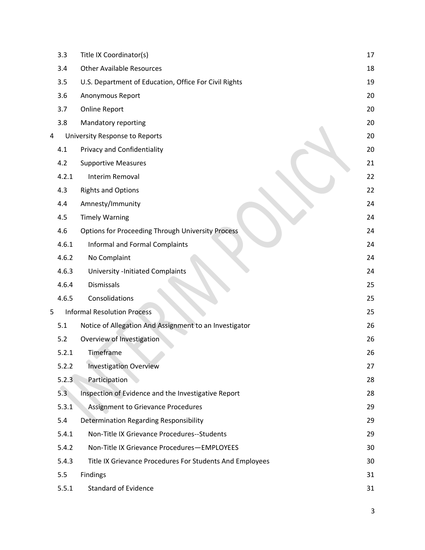|   | 3.3   | Title IX Coordinator(s)                                  | 17 |
|---|-------|----------------------------------------------------------|----|
|   | 3.4   | <b>Other Available Resources</b>                         | 18 |
|   | 3.5   | U.S. Department of Education, Office For Civil Rights    | 19 |
|   | 3.6   | Anonymous Report                                         | 20 |
|   | 3.7   | Online Report                                            | 20 |
|   | 3.8   | Mandatory reporting                                      | 20 |
| 4 |       | University Response to Reports                           | 20 |
|   | 4.1   | <b>Privacy and Confidentiality</b>                       | 20 |
|   | 4.2   | <b>Supportive Measures</b>                               | 21 |
|   | 4.2.1 | Interim Removal                                          | 22 |
|   | 4.3   | <b>Rights and Options</b>                                | 22 |
|   | 4.4   | Amnesty/Immunity                                         | 24 |
|   | 4.5   | <b>Timely Warning</b>                                    | 24 |
|   | 4.6   | <b>Options for Proceeding Through University Process</b> | 24 |
|   | 4.6.1 | <b>Informal and Formal Complaints</b>                    | 24 |
|   | 4.6.2 | No Complaint                                             | 24 |
|   | 4.6.3 | <b>University -Initiated Complaints</b>                  | 24 |
|   | 4.6.4 | Dismissals                                               | 25 |
|   | 4.6.5 | Consolidations                                           | 25 |
| 5 |       | <b>Informal Resolution Process</b>                       | 25 |
|   | 5.1   | Notice of Allegation And Assignment to an Investigator   | 26 |
|   | 5.2   | Overview of Investigation                                | 26 |
|   | 5.2.1 | Timeframe                                                | 26 |
|   | 5.2.2 | <b>Investigation Overview</b>                            | 27 |
|   | 5.2.3 | Participation                                            | 28 |
|   | 5.3   | Inspection of Evidence and the Investigative Report      | 28 |
|   | 5.3.1 | <b>Assignment to Grievance Procedures</b>                | 29 |
|   | 5.4   | <b>Determination Regarding Responsibility</b>            | 29 |
|   | 5.4.1 | Non-Title IX Grievance Procedures--Students              | 29 |
|   | 5.4.2 | Non-Title IX Grievance Procedures-EMPLOYEES              | 30 |
|   | 5.4.3 | Title IX Grievance Procedures For Students And Employees | 30 |
|   | 5.5   | <b>Findings</b>                                          | 31 |
|   | 5.5.1 | <b>Standard of Evidence</b>                              | 31 |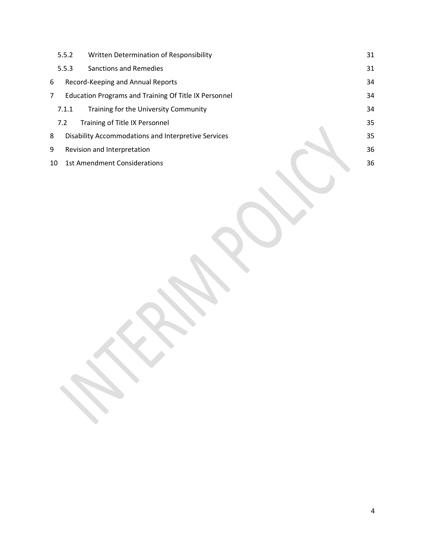|    | 5.5.2 | Written Determination of Responsibility               | 31 |
|----|-------|-------------------------------------------------------|----|
|    | 5.5.3 | <b>Sanctions and Remedies</b>                         | 31 |
| 6  |       | Record-Keeping and Annual Reports                     | 34 |
| 7  |       | Education Programs and Training Of Title IX Personnel | 34 |
|    | 7.1.1 | Training for the University Community                 | 34 |
|    | 7.2   | Training of Title IX Personnel                        | 35 |
| 8  |       | Disability Accommodations and Interpretive Services   | 35 |
| 9  |       | Revision and Interpretation                           | 36 |
| 10 |       | <b>1st Amendment Considerations</b>                   | 36 |
|    |       |                                                       |    |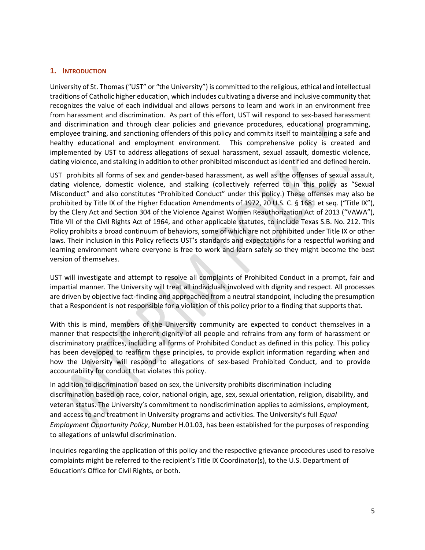#### <span id="page-4-0"></span>**1. INTRODUCTION**

University of St. Thomas ("UST" or "the University") is committed to the religious, ethical and intellectual traditions of Catholic higher education, which includes cultivating a diverse and inclusive community that recognizes the value of each individual and allows persons to learn and work in an environment free from harassment and discrimination. As part of this effort, UST will respond to sex-based harassment and discrimination and through clear policies and grievance procedures, educational programming, employee training, and sanctioning offenders of this policy and commits itself to maintaining a safe and healthy educational and employment environment. This comprehensive policy is created and implemented by UST to address allegations of sexual harassment, sexual assault, domestic violence, dating violence, and stalking in addition to other prohibited misconduct as identified and defined herein.

UST prohibits all forms of sex and gender‐based harassment, as well as the offenses of sexual assault, dating violence, domestic violence, and stalking (collectively referred to in this policy as "Sexual Misconduct" and also constitutes "Prohibited Conduct" under this policy.) These offenses may also be prohibited by Title IX of the Higher Education Amendments of 1972, 20 U.S. C. § 1681 et seq. ("Title IX"), by the Clery Act and Section 304 of the Violence Against Women Reauthorization Act of 2013 ("VAWA"), Title VII of the Civil Rights Act of 1964, and other applicable statutes, to include Texas S.B. No. 212. This Policy prohibits a broad continuum of behaviors, some of which are not prohibited under Title IX or other laws. Their inclusion in this Policy reflects UST's standards and expectations for a respectful working and learning environment where everyone is free to work and learn safely so they might become the best version of themselves.

UST will investigate and attempt to resolve all complaints of Prohibited Conduct in a prompt, fair and impartial manner. The University will treat all individuals involved with dignity and respect. All processes are driven by objective fact-finding and approached from a neutral standpoint, including the presumption that a Respondent is not responsible for a violation of this policy prior to a finding that supports that.

With this is mind, members of the University community are expected to conduct themselves in a manner that respects the inherent dignity of all people and refrains from any form of harassment or discriminatory practices, including all forms of Prohibited Conduct as defined in this policy. This policy has been developed to reaffirm these principles, to provide explicit information regarding when and how the University will respond to allegations of sex-based Prohibited Conduct, and to provide accountability for conduct that violates this policy.

In addition to discrimination based on sex, the University prohibits discrimination including discrimination based on race, color, national origin, age, sex, sexual orientation, religion, disability, and veteran status. The University's commitment to nondiscrimination applies to admissions, employment, and access to and treatment in University programs and activities. The University's full *Equal Employment Opportunity Policy*, Number H.01.03, has been established for the purposes of responding to allegations of unlawful discrimination.

Inquiries regarding the application of this policy and the respective grievance procedures used to resolve complaints might be referred to the recipient's Title IX Coordinator(s), to the U.S. Department of Education's Office for Civil Rights, or both.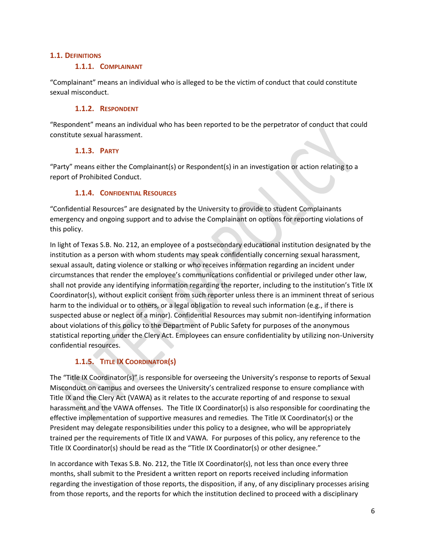#### <span id="page-5-1"></span><span id="page-5-0"></span>**1.1. DEFINITIONS**

#### **1.1.1. COMPLAINANT**

"Complainant" means an individual who is alleged to be the victim of conduct that could constitute sexual misconduct.

#### **1.1.2. RESPONDENT**

<span id="page-5-2"></span>"Respondent" means an individual who has been reported to be the perpetrator of conduct that could constitute sexual harassment.

# **1.1.3. PARTY**

<span id="page-5-3"></span>"Party" means either the Complainant(s) or Respondent(s) in an investigation or action relating to a report of Prohibited Conduct.

# **1.1.4. CONFIDENTIAL RESOURCES**

<span id="page-5-4"></span>"Confidential Resources" are designated by the University to provide to student Complainants emergency and ongoing support and to advise the Complainant on options for reporting violations of this policy.

In light of Texas S.B. No. 212, an employee of a postsecondary educational institution designated by the institution as a person with whom students may speak confidentially concerning sexual harassment, sexual assault, dating violence or stalking or who receives information regarding an incident under circumstances that render the employee's communications confidential or privileged under other law, shall not provide any identifying information regarding the reporter, including to the institution's Title IX Coordinator(s), without explicit consent from such reporter unless there is an imminent threat of serious harm to the individual or to others, or a legal obligation to reveal such information (e.g., if there is suspected abuse or neglect of a minor). Confidential Resources may submit non-identifying information about violations of this policy to the Department of Public Safety for purposes of the anonymous statistical reporting under the Clery Act. Employees can ensure confidentiality by utilizing non-University confidential resources.

# **1.1.5. TITLE IX COORDINATOR(S)**

<span id="page-5-5"></span>The "Title IX Coordinator(s)" is responsible for overseeing the University's response to reports of Sexual Misconduct on campus and oversees the University's centralized response to ensure compliance with Title IX and the Clery Act (VAWA) as it relates to the accurate reporting of and response to sexual harassment and the VAWA offenses. The Title IX Coordinator(s) is also responsible for coordinating the effective implementation of supportive measures and remedies. The Title IX Coordinator(s) or the President may delegate responsibilities under this policy to a designee, who will be appropriately trained per the requirements of Title IX and VAWA. For purposes of this policy, any reference to the Title IX Coordinator(s) should be read as the "Title IX Coordinator(s) or other designee."

In accordance with Texas S.B. No. 212, the Title IX Coordinator(s), not less than once every three months, shall submit to the President a written report on reports received including information regarding the investigation of those reports, the disposition, if any, of any disciplinary processes arising from those reports, and the reports for which the institution declined to proceed with a disciplinary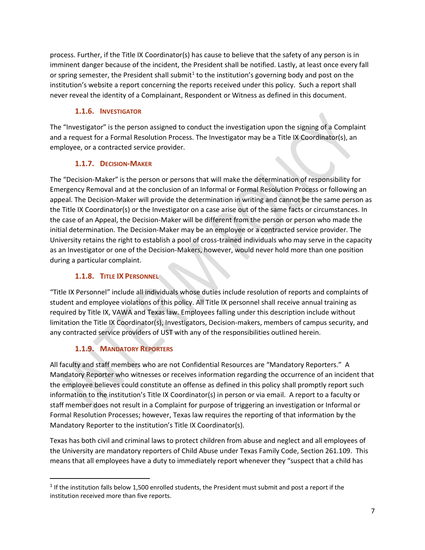process. Further, if the Title IX Coordinator(s) has cause to believe that the safety of any person is in imminent danger because of the incident, the President shall be notified. Lastly, at least once every fall or spring semester, the President shall submit<sup>1</sup> to the institution's governing body and post on the institution's website a report concerning the reports received under this policy. Such a report shall never reveal the identity of a Complainant, Respondent or Witness as defined in this document.

# **1.1.6. INVESTIGATOR**

<span id="page-6-0"></span>The "Investigator" is the person assigned to conduct the investigation upon the signing of a Complaint and a request for a Formal Resolution Process. The Investigator may be a Title IX Coordinator(s), an employee, or a contracted service provider.

# **1.1.7. DECISION-MAKER**

<span id="page-6-1"></span>The "Decision-Maker" is the person or persons that will make the determination of responsibility for Emergency Removal and at the conclusion of an Informal or Formal Resolution Process or following an appeal. The Decision-Maker will provide the determination in writing and cannot be the same person as the Title IX Coordinator(s) or the Investigator on a case arise out of the same facts or circumstances. In the case of an Appeal, the Decision-Maker will be different from the person or person who made the initial determination. The Decision-Maker may be an employee or a contracted service provider. The University retains the right to establish a pool of cross-trained individuals who may serve in the capacity as an Investigator or one of the Decision-Makers, however, would never hold more than one position during a particular complaint.

# **1.1.8. TITLE IX PERSONNEL**

<span id="page-6-2"></span>"Title IX Personnel" include all individuals whose duties include resolution of reports and complaints of student and employee violations of this policy. All Title IX personnel shall receive annual training as required by Title IX, VAWA and Texas law. Employees falling under this description include without limitation the Title IX Coordinator(s), Investigators, Decision-makers, members of campus security, and any contracted service providers of UST with any of the responsibilities outlined herein.

# **1.1.9. MANDATORY REPORTERS**

<span id="page-6-3"></span>All faculty and staff members who are not Confidential Resources are "Mandatory Reporters." A Mandatory Reporter who witnesses or receives information regarding the occurrence of an incident that the employee believes could constitute an offense as defined in this policy shall promptly report such information to the institution's Title IX Coordinator(s) in person or via email. A report to a faculty or staff member does not result in a Complaint for purpose of triggering an investigation or Informal or Formal Resolution Processes; however, Texas law requires the reporting of that information by the Mandatory Reporter to the institution's Title IX Coordinator(s).

Texas has both civil and criminal laws to protect children from abuse and neglect and all employees of the University are mandatory reporters of Child Abuse under Texas Family Code, Section 261.109. This means that all employees have a duty to immediately report whenever they "suspect that a child has

 $1$  If the institution falls below 1,500 enrolled students, the President must submit and post a report if the institution received more than five reports.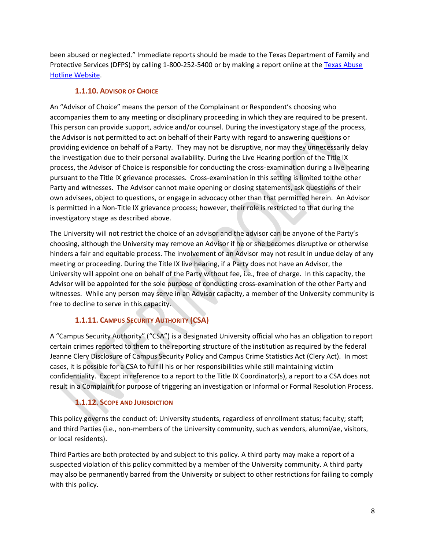been abused or neglected." Immediate reports should be made to the Texas Department of Family and Protective Services (DFPS) by calling 1-800-252-5400 or by making a report online at the [Texas Abuse](https://www.txabusehotline.org/Login/Default.aspx)  [Hotline Website.](https://www.txabusehotline.org/Login/Default.aspx)

# **1.1.10. ADVISOR OF CHOICE**

<span id="page-7-0"></span>An "Advisor of Choice" means the person of the Complainant or Respondent's choosing who accompanies them to any meeting or disciplinary proceeding in which they are required to be present. This person can provide support, advice and/or counsel. During the investigatory stage of the process, the Advisor is not permitted to act on behalf of their Party with regard to answering questions or providing evidence on behalf of a Party. They may not be disruptive, nor may they unnecessarily delay the investigation due to their personal availability. During the Live Hearing portion of the Title IX process, the Advisor of Choice is responsible for conducting the cross-examination during a live hearing pursuant to the Title IX grievance processes. Cross-examination in this setting is limited to the other Party and witnesses. The Advisor cannot make opening or closing statements, ask questions of their own advisees, object to questions, or engage in advocacy other than that permitted herein. An Advisor is permitted in a Non-Title IX grievance process; however, their role is restricted to that during the investigatory stage as described above.

The University will not restrict the choice of an advisor and the advisor can be anyone of the Party's choosing, although the University may remove an Advisor if he or she becomes disruptive or otherwise hinders a fair and equitable process. The involvement of an Advisor may not result in undue delay of any meeting or proceeding. During the Title IX live hearing, if a Party does not have an Advisor, the University will appoint one on behalf of the Party without fee, i.e., free of charge. In this capacity, the Advisor will be appointed for the sole purpose of conducting cross-examination of the other Party and witnesses. While any person may serve in an Advisor capacity, a member of the University community is free to decline to serve in this capacity.

# **1.1.11. CAMPUS SECURITY AUTHORITY (CSA)**

<span id="page-7-1"></span>A "Campus Security Authority" ("CSA") is a designated University official who has an obligation to report certain crimes reported to them to the reporting structure of the institution as required by the federal Jeanne Clery Disclosure of Campus Security Policy and Campus Crime Statistics Act (Clery Act). In most cases, it is possible for a CSA to fulfill his or her responsibilities while still maintaining victim confidentiality. Except in reference to a report to the Title IX Coordinator(s), a report to a CSA does not result in a Complaint for purpose of triggering an investigation or Informal or Formal Resolution Process.

# **1.1.12. SCOPE AND JURISDICTION**

<span id="page-7-2"></span>This policy governs the conduct of: University students, regardless of enrollment status; faculty; staff; and third Parties (i.e., non-members of the University community, such as vendors, alumni/ae, visitors, or local residents).

Third Parties are both protected by and subject to this policy. A third party may make a report of a suspected violation of this policy committed by a member of the University community. A third party may also be permanently barred from the University or subject to other restrictions for failing to comply with this policy.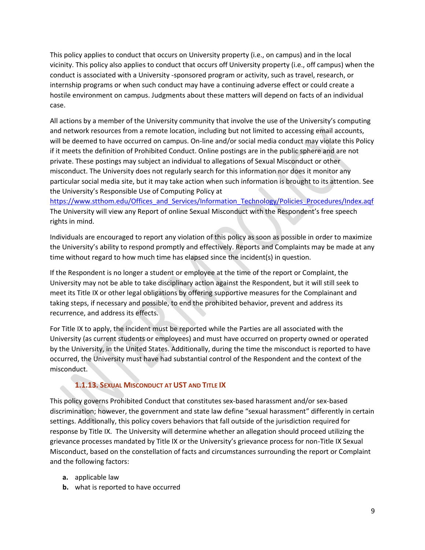This policy applies to conduct that occurs on University property (i.e., on campus) and in the local vicinity. This policy also applies to conduct that occurs off University property (i.e., off campus) when the conduct is associated with a University -sponsored program or activity, such as travel, research, or internship programs or when such conduct may have a continuing adverse effect or could create a hostile environment on campus. Judgments about these matters will depend on facts of an individual case.

All actions by a member of the University community that involve the use of the University's computing and network resources from a remote location, including but not limited to accessing email accounts, will be deemed to have occurred on campus. On-line and/or social media conduct may violate this Policy if it meets the definition of Prohibited Conduct. Online postings are in the public sphere and are not private. These postings may subject an individual to allegations of Sexual Misconduct or other misconduct. The University does not regularly search for this information nor does it monitor any particular social media site, but it may take action when such information is brought to its attention. See the University's Responsible Use of Computing Policy at

[https://www.stthom.edu/Offices\\_and\\_Services/Information\\_Technology/Policies\\_Procedures/Index.aqf](https://www.stthom.edu/Offices_and_Services/Information_Technology/Policies_Procedures/Index.aqf) The University will view any Report of online Sexual Misconduct with the Respondent's free speech rights in mind.

Individuals are encouraged to report any violation of this policy as soon as possible in order to maximize the University's ability to respond promptly and effectively. Reports and Complaints may be made at any time without regard to how much time has elapsed since the incident(s) in question.

If the Respondent is no longer a student or employee at the time of the report or Complaint, the University may not be able to take disciplinary action against the Respondent, but it will still seek to meet its Title IX or other legal obligations by offering supportive measures for the Complainant and taking steps, if necessary and possible, to end the prohibited behavior, prevent and address its recurrence, and address its effects.

For Title IX to apply, the incident must be reported while the Parties are all associated with the University (as current students or employees) and must have occurred on property owned or operated by the University, in the United States. Additionally, during the time the misconduct is reported to have occurred, the University must have had substantial control of the Respondent and the context of the misconduct.

# **1.1.13. SEXUAL MISCONDUCT AT UST AND TITLE IX**

<span id="page-8-0"></span>This policy governs Prohibited Conduct that constitutes sex-based harassment and/or sex-based discrimination; however, the government and state law define "sexual harassment" differently in certain settings. Additionally, this policy covers behaviors that fall outside of the jurisdiction required for response by Title IX. The University will determine whether an allegation should proceed utilizing the grievance processes mandated by Title IX or the University's grievance process for non-Title IX Sexual Misconduct, based on the constellation of facts and circumstances surrounding the report or Complaint and the following factors:

- **a.** applicable law
- **b.** what is reported to have occurred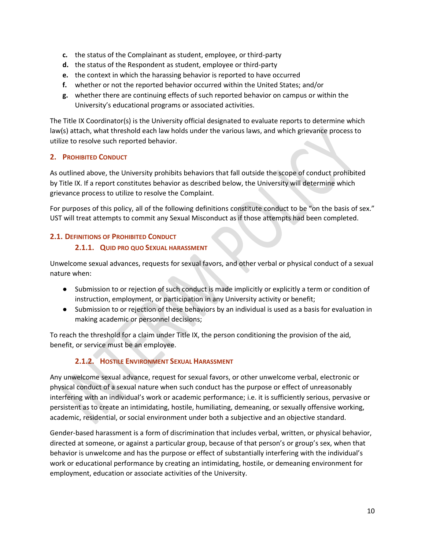- **c.** the status of the Complainant as student, employee, or third-party
- **d.** the status of the Respondent as student, employee or third-party
- **e.** the context in which the harassing behavior is reported to have occurred
- **f.** whether or not the reported behavior occurred within the United States; and/or
- **g.** whether there are continuing effects of such reported behavior on campus or within the University's educational programs or associated activities.

The Title IX Coordinator(s) is the University official designated to evaluate reports to determine which law(s) attach, what threshold each law holds under the various laws, and which grievance process to utilize to resolve such reported behavior.

# <span id="page-9-0"></span>**2. PROHIBITED CONDUCT**

As outlined above, the University prohibits behaviors that fall outside the scope of conduct prohibited by Title IX. If a report constitutes behavior as described below, the University will determine which grievance process to utilize to resolve the Complaint.

For purposes of this policy, all of the following definitions constitute conduct to be "on the basis of sex." UST will treat attempts to commit any Sexual Misconduct as if those attempts had been completed.

# <span id="page-9-2"></span><span id="page-9-1"></span>**2.1. DEFINITIONS OF PROHIBITED CONDUCT**

#### **2.1.1. QUID PRO QUO SEXUAL HARASSMENT**

Unwelcome sexual advances, requests for sexual favors, and other verbal or physical conduct of a sexual nature when:

- Submission to or rejection of such conduct is made implicitly or explicitly a term or condition of instruction, employment, or participation in any University activity or benefit;
- Submission to or rejection of these behaviors by an individual is used as a basis for evaluation in making academic or personnel decisions;

To reach the threshold for a claim under Title IX, the person conditioning the provision of the aid, benefit, or service must be an employee.

# **2.1.2. HOSTILE ENVIRONMENT SEXUAL HARASSMENT**

<span id="page-9-3"></span>Any unwelcome sexual advance, request for sexual favors, or other unwelcome verbal, electronic or physical conduct of a sexual nature when such conduct has the purpose or effect of unreasonably interfering with an individual's work or academic performance; i.e. it is sufficiently serious, pervasive or persistent as to create an intimidating, hostile, humiliating, demeaning, or sexually offensive working, academic, residential, or social environment under both a subjective and an objective standard.

Gender-based harassment is a form of discrimination that includes verbal, written, or physical behavior, directed at someone, or against a particular group, because of that person's or group's sex, when that behavior is unwelcome and has the purpose or effect of substantially interfering with the individual's work or educational performance by creating an intimidating, hostile, or demeaning environment for employment, education or associate activities of the University.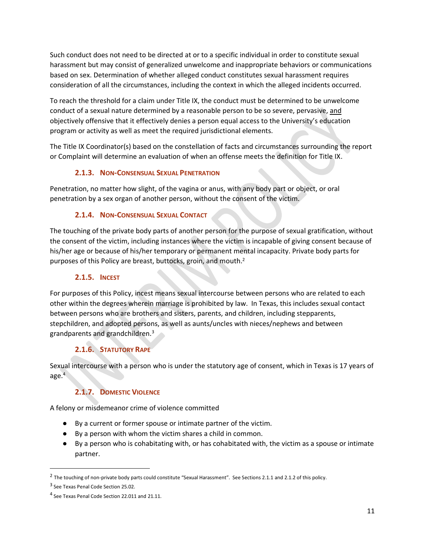Such conduct does not need to be directed at or to a specific individual in order to constitute sexual harassment but may consist of generalized unwelcome and inappropriate behaviors or communications based on sex. Determination of whether alleged conduct constitutes sexual harassment requires consideration of all the circumstances, including the context in which the alleged incidents occurred.

To reach the threshold for a claim under Title IX, the conduct must be determined to be unwelcome conduct of a sexual nature determined by a reasonable person to be so severe, pervasive, and objectively offensive that it effectively denies a person equal access to the University's education program or activity as well as meet the required jurisdictional elements.

The Title IX Coordinator(s) based on the constellation of facts and circumstances surrounding the report or Complaint will determine an evaluation of when an offense meets the definition for Title IX.

# **2.1.3. NON-CONSENSUAL SEXUAL PENETRATION**

<span id="page-10-0"></span>Penetration, no matter how slight, of the vagina or anus, with any body part or object, or oral penetration by a sex organ of another person, without the consent of the victim.

# **2.1.4. NON-CONSENSUAL SEXUAL CONTACT**

<span id="page-10-1"></span>The touching of the private body parts of another person for the purpose of sexual gratification, without the consent of the victim, including instances where the victim is incapable of giving consent because of his/her age or because of his/her temporary or permanent mental incapacity. Private body parts for purposes of this Policy are breast, buttocks, groin, and mouth.<sup>2</sup>

# **2.1.5. INCEST**

<span id="page-10-2"></span>For purposes of this Policy, incest means sexual intercourse between persons who are related to each other within the degrees wherein marriage is prohibited by law. In Texas, this includes sexual contact between persons who are brothers and sisters, parents, and children, including stepparents, stepchildren, and adopted persons, as well as aunts/uncles with nieces/nephews and between grandparents and grandchildren.<sup>3</sup>

# **2.1.6. STATUTORY RAPE**

<span id="page-10-3"></span>Sexual intercourse with a person who is under the statutory age of consent, which in Texas is 17 years of age. $4<sup>4</sup>$ 

# **2.1.7. DOMESTIC VIOLENCE**

<span id="page-10-4"></span>A felony or misdemeanor crime of violence committed

- By a current or former spouse or intimate partner of the victim.
- By a person with whom the victim shares a child in common.
- By a person who is cohabitating with, or has cohabitated with, the victim as a spouse or intimate partner.

 $^2$  The touching of non-private body parts could constitute "Sexual Harassment". See Sections 2.1.1 and 2.1.2 of this policy.

<sup>&</sup>lt;sup>3</sup> See Texas Penal Code Section 25.02.

<sup>&</sup>lt;sup>4</sup> See Texas Penal Code Section 22.011 and 21.11.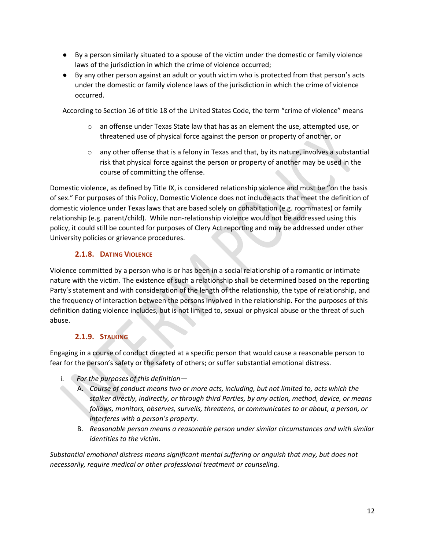- By a person similarly situated to a spouse of the victim under the domestic or family violence laws of the jurisdiction in which the crime of violence occurred;
- By any other person against an adult or youth victim who is protected from that person's acts under the domestic or family violence laws of the jurisdiction in which the crime of violence occurred.

According to Section 16 of title 18 of the United States Code, the term "crime of violence" means

- $\circ$  an offense under Texas State law that has as an element the use, attempted use, or threatened use of physical force against the person or property of another, or
- $\circ$  any other offense that is a felony in Texas and that, by its nature, involves a substantial risk that physical force against the person or property of another may be used in the course of committing the offense.

Domestic violence, as defined by Title IX, is considered relationship violence and must be "on the basis of sex." For purposes of this Policy, Domestic Violence does not include acts that meet the definition of domestic violence under Texas laws that are based solely on cohabitation (e.g. roommates) or family relationship (e.g. parent/child). While non-relationship violence would not be addressed using this policy, it could still be counted for purposes of Clery Act reporting and may be addressed under other University policies or grievance procedures.

# **2.1.8. DATING VIOLENCE**

<span id="page-11-0"></span>Violence committed by a person who is or has been in a social relationship of a romantic or intimate nature with the victim. The existence of such a relationship shall be determined based on the reporting Party's statement and with consideration of the length of the relationship, the type of relationship, and the frequency of interaction between the persons involved in the relationship. For the purposes of this definition dating violence includes, but is not limited to, sexual or physical abuse or the threat of such abuse.

# **2.1.9. STALKING**

<span id="page-11-1"></span>Engaging in a course of conduct directed at a specific person that would cause a reasonable person to fear for the person's safety or the safety of others; or suffer substantial emotional distress.

- i. *For the purposes of this definition—*
	- A. *Course of conduct means two or more acts, including, but not limited to, acts which the stalker directly, indirectly, or through third Parties, by any action, method, device, or means follows, monitors, observes, surveils, threatens, or communicates to or about, a person, or interferes with a person's property.*
	- B. *Reasonable person means a reasonable person under similar circumstances and with similar identities to the victim.*

*Substantial emotional distress means significant mental suffering or anguish that may, but does not necessarily, require medical or other professional treatment or counseling.*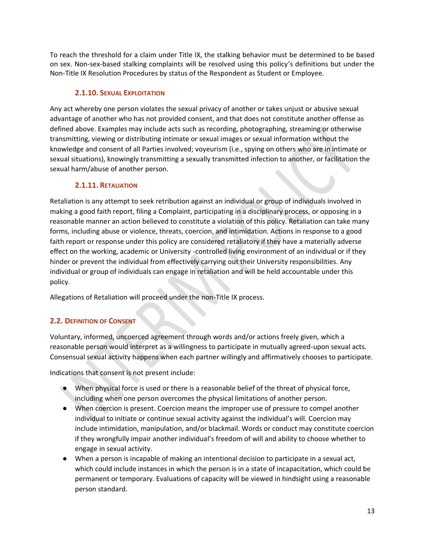To reach the threshold for a claim under Title IX, the stalking behavior must be determined to be based on sex. Non-sex-based stalking complaints will be resolved using this policy's definitions but under the Non-Title IX Resolution Procedures by status of the Respondent as Student or Employee.

# **2.1.10. SEXUAL EXPLOITATION**

<span id="page-12-0"></span>Any act whereby one person violates the sexual privacy of another or takes unjust or abusive sexual advantage of another who has not provided consent, and that does not constitute another offense as defined above. Examples may include acts such as recording, photographing, streaming or otherwise transmitting, viewing or distributing intimate or sexual images or sexual information without the knowledge and consent of all Parties involved; voyeurism (i.e., spying on others who are in intimate or sexual situations), knowingly transmitting a sexually transmitted infection to another, or facilitation the sexual harm/abuse of another person.

# **2.1.11. RETALIATION**

<span id="page-12-1"></span>Retaliation is any attempt to seek retribution against an individual or group of individuals involved in making a good faith report, filing a Complaint, participating in a disciplinary process, or opposing in a reasonable manner an action believed to constitute a violation of this policy. Retaliation can take many forms, including abuse or violence, threats, coercion, and intimidation. Actions in response to a good faith report or response under this policy are considered retaliatory if they have a materially adverse effect on the working, academic or University -controlled living environment of an individual or if they hinder or prevent the individual from effectively carrying out their University responsibilities. Any individual or group of individuals can engage in retaliation and will be held accountable under this policy.

Allegations of Retaliation will proceed under the non-Title IX process.

# <span id="page-12-2"></span>**2.2. DEFINITION OF CONSENT**

Voluntary, informed, uncoerced agreement through words and/or actions freely given, which a reasonable person would interpret as a willingness to participate in mutually agreed-upon sexual acts. Consensual sexual activity happens when each partner willingly and affirmatively chooses to participate.

Indications that consent is not present include:

- When physical force is used or there is a reasonable belief of the threat of physical force, including when one person overcomes the physical limitations of another person.
- When coercion is present. Coercion means the improper use of pressure to compel another individual to initiate or continue sexual activity against the individual's will. Coercion may include intimidation, manipulation, and/or blackmail. Words or conduct may constitute coercion if they wrongfully impair another individual's freedom of will and ability to choose whether to engage in sexual activity.
- When a person is incapable of making an intentional decision to participate in a sexual act, which could include instances in which the person is in a state of incapacitation, which could be permanent or temporary. Evaluations of capacity will be viewed in hindsight using a reasonable person standard.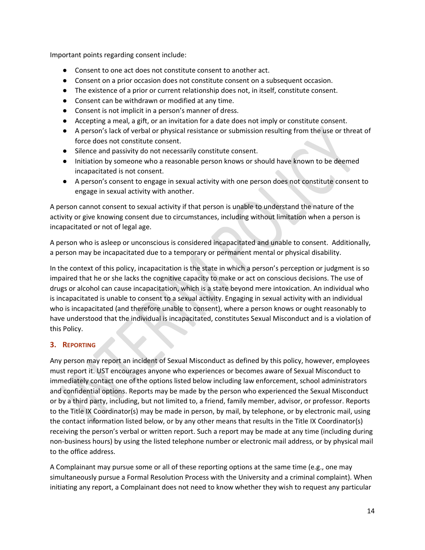Important points regarding consent include:

- Consent to one act does not constitute consent to another act.
- Consent on a prior occasion does not constitute consent on a subsequent occasion.
- The existence of a prior or current relationship does not, in itself, constitute consent.
- Consent can be withdrawn or modified at any time.
- Consent is not implicit in a person's manner of dress.
- Accepting a meal, a gift, or an invitation for a date does not imply or constitute consent.
- A person's lack of verbal or physical resistance or submission resulting from the use or threat of force does not constitute consent.
- Silence and passivity do not necessarily constitute consent.
- Initiation by someone who a reasonable person knows or should have known to be deemed incapacitated is not consent.
- A person's consent to engage in sexual activity with one person does not constitute consent to engage in sexual activity with another.

A person cannot consent to sexual activity if that person is unable to understand the nature of the activity or give knowing consent due to circumstances, including without limitation when a person is incapacitated or not of legal age.

A person who is asleep or unconscious is considered incapacitated and unable to consent. Additionally, a person may be incapacitated due to a temporary or permanent mental or physical disability.

In the context of this policy, incapacitation is the state in which a person's perception or judgment is so impaired that he or she lacks the cognitive capacity to make or act on conscious decisions. The use of drugs or alcohol can cause incapacitation, which is a state beyond mere intoxication. An individual who is incapacitated is unable to consent to a sexual activity. Engaging in sexual activity with an individual who is incapacitated (and therefore unable to consent), where a person knows or ought reasonably to have understood that the individual is incapacitated, constitutes Sexual Misconduct and is a violation of this Policy.

# <span id="page-13-0"></span>**3. REPORTING**

Any person may report an incident of Sexual Misconduct as defined by this policy, however, employees must report it. UST encourages anyone who experiences or becomes aware of Sexual Misconduct to immediately contact one of the options listed below including law enforcement, school administrators and confidential options. Reports may be made by the person who experienced the Sexual Misconduct or by a third party, including, but not limited to, a friend, family member, advisor, or professor. Reports to the Title IX Coordinator(s) may be made in person, by mail, by telephone, or by electronic mail, using the contact information listed below, or by any other means that results in the Title IX Coordinator(s) receiving the person's verbal or written report. Such a report may be made at any time (including during non-business hours) by using the listed telephone number or electronic mail address, or by physical mail to the office address.

A Complainant may pursue some or all of these reporting options at the same time (e.g., one may simultaneously pursue a Formal Resolution Process with the University and a criminal complaint). When initiating any report, a Complainant does not need to know whether they wish to request any particular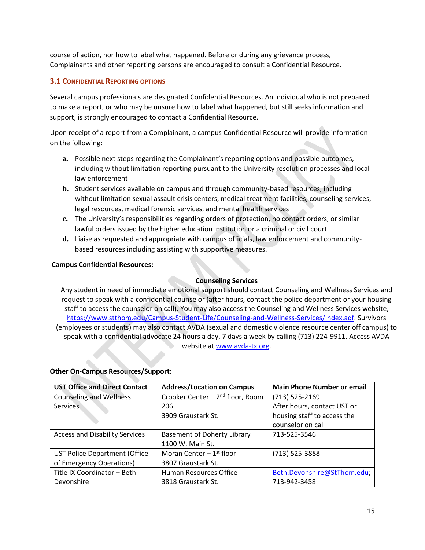course of action, nor how to label what happened. Before or during any grievance process, Complainants and other reporting persons are encouraged to consult a Confidential Resource.

# <span id="page-14-0"></span>**3.1 CONFIDENTIAL REPORTING OPTIONS**

Several campus professionals are designated Confidential Resources. An individual who is not prepared to make a report, or who may be unsure how to label what happened, but still seeks information and support, is strongly encouraged to contact a Confidential Resource.

Upon receipt of a report from a Complainant, a campus Confidential Resource will provide information on the following:

- **a.** Possible next steps regarding the Complainant's reporting options and possible outcomes, including without limitation reporting pursuant to the University resolution processes and local law enforcement
- **b.** Student services available on campus and through community-based resources, including without limitation sexual assault crisis centers, medical treatment facilities, counseling services, legal resources, medical forensic services, and mental health services
- **c.** The University's responsibilities regarding orders of protection, no contact orders, or similar lawful orders issued by the higher education institution or a criminal or civil court
- **d.** Liaise as requested and appropriate with campus officials, law enforcement and communitybased resources including assisting with supportive measures.

#### **Campus Confidential Resources:**

#### **Counseling Services**

Any student in need of immediate emotional support should contact Counseling and Wellness Services and request to speak with a confidential counselor (after hours, contact the police department or your housing staff to access the counselor on call). You may also access the Counseling and Wellness Services website, [https://www.stthom.edu/Campus-Student-Life/Counseling-and-Wellness-Services/Index.aqf.](https://www.stthom.edu/Campus-Student-Life/Counseling-and-Wellness-Services/Index.aqf) Survivors (employees or students) may also contact AVDA (sexual and domestic violence resource center off campus) to speak with a confidential advocate 24 hours a day, 7 days a week by calling (713) 224-9911. Access AVDA website at [www.avda-tx.org.](http://www.avda-tx.org/)

| <b>UST Office and Direct Contact</b>  | <b>Address/Location on Campus</b>            | <b>Main Phone Number or email</b> |
|---------------------------------------|----------------------------------------------|-----------------------------------|
| <b>Counseling and Wellness</b>        | Crooker Center - 2 <sup>nd</sup> floor, Room | $(713) 525 - 2169$                |
| <b>Services</b>                       | 206                                          | After hours, contact UST or       |
|                                       | 3909 Graustark St.                           | housing staff to access the       |
|                                       |                                              | counselor on call                 |
| <b>Access and Disability Services</b> | <b>Basement of Doherty Library</b>           | 713-525-3546                      |
|                                       | 1100 W. Main St.                             |                                   |
| <b>UST Police Department (Office</b>  | Moran Center $-1$ <sup>st</sup> floor        | (713) 525-3888                    |
| of Emergency Operations)              | 3807 Graustark St.                           |                                   |
| Title IX Coordinator - Beth           | Human Resources Office                       | Beth.Devonshire@StThom.edu;       |
| Devonshire                            | 3818 Graustark St.                           | 713-942-3458                      |

#### **Other On-Campus Resources/Support:**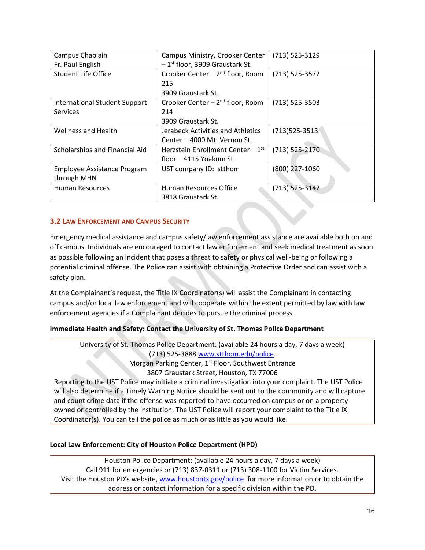| Campus Ministry, Crooker Center              | $(713) 525 - 3129$ |
|----------------------------------------------|--------------------|
| $-1$ <sup>st</sup> floor, 3909 Graustark St. |                    |
| Crooker Center - 2 <sup>nd</sup> floor, Room | $(713) 525 - 3572$ |
| 215                                          |                    |
| 3909 Graustark St.                           |                    |
| Crooker Center - 2 <sup>nd</sup> floor, Room | $(713) 525 - 3503$ |
| 214                                          |                    |
| 3909 Graustark St.                           |                    |
| Jerabeck Activities and Athletics            | $(713)525 - 3513$  |
| Center - 4000 Mt. Vernon St.                 |                    |
| Herzstein Enrollment Center $-1st$           | $(713)$ 525-2170   |
| floor – 4115 Yoakum St.                      |                    |
| UST company ID: stthom                       | (800) 227-1060     |
|                                              |                    |
| Human Resources Office                       | $(713)$ 525-3142   |
| 3818 Graustark St.                           |                    |
|                                              |                    |

#### <span id="page-15-0"></span>**3.2 LAW ENFORCEMENT AND CAMPUS SECURITY**

Emergency medical assistance and campus safety/law enforcement assistance are available both on and off campus. Individuals are encouraged to contact law enforcement and seek medical treatment as soon as possible following an incident that poses a threat to safety or physical well-being or following a potential criminal offense. The Police can assist with obtaining a Protective Order and can assist with a safety plan.

At the Complainant's request, the Title IX Coordinator(s) will assist the Complainant in contacting campus and/or local law enforcement and will cooperate within the extent permitted by law with law enforcement agencies if a Complainant decides to pursue the criminal process.

#### **Immediate Health and Safety: Contact the University of St. Thomas Police Department**

University of St. Thomas Police Department: (available 24 hours a day, 7 days a week) (713) 525-3888 [www.stthom.edu/police.](http://www.stthom.edu/police) Morgan Parking Center, 1<sup>st</sup> Floor, Southwest Entrance 3807 Graustark Street, Houston, TX 77006

Reporting to the UST Police may initiate a criminal investigation into your complaint. The UST Police will also determine if a Timely Warning Notice should be sent out to the community and will capture and count crime data if the offense was reported to have occurred on campus or on a property owned or controlled by the institution. The UST Police will report your complaint to the Title IX Coordinator(s). You can tell the police as much or as little as you would like.

#### **Local Law Enforcement: City of Houston Police Department (HPD)**

Houston Police Department: (available 24 hours a day, 7 days a week) Call 911 for emergencies or (713) 837-0311 or (713) 308-1100 for Victim Services. Visit the Houston PD's website, [www.houstontx.gov/police](http://www.houstontx.gov/police) for more information or to obtain the address or contact information for a specific division within the PD.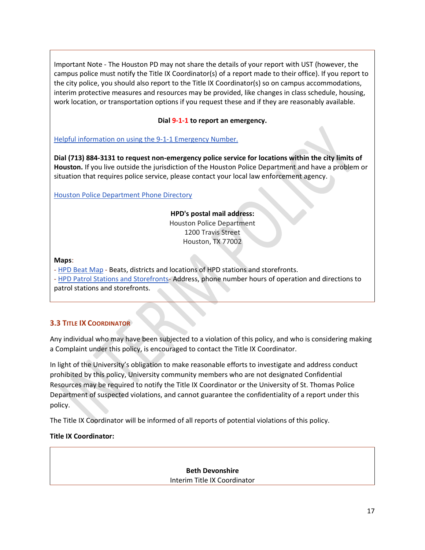Important Note - The Houston PD may not share the details of your report with UST (however, the campus police must notify the Title IX Coordinator(s) of a report made to their office). If you report to the city police, you should also report to the Title IX Coordinator(s) so on campus accommodations, interim protective measures and resources may be provided, like changes in class schedule, housing, work location, or transportation options if you request these and if they are reasonably available.

#### **Dial 9-1-1 to report an emergency.**

[Helpful information on using the 9-1-1 Emergency Number.](https://www.houstontx.gov/police/contact/911.htm)

**Dial (713) 884-3131 to request non-emergency police service for locations within the city limits of Houston.** If you live outside the jurisdiction of the Houston Police Department and have a problem or situation that requires police service, please contact your local law enforcement agency.

[Houston Police Department Phone Directory](https://www.houstontx.gov/police/phone.htm)

# **HPD's postal mail address:**

Houston Police Department 1200 Travis Street Houston, TX 77002

**Maps**[:](https://www.houstontx.gov/police/pdfs/hpd_beat_map.pdf) 

- [HPD Beat Map](https://www.houstontx.gov/police/pdfs/hpd_beat_map.pdf) - Beats, districts and locations of HPD stations and storefronts.

- [HPD Patrol Stations and Storefronts-](https://www.houstontx.gov/police/contact/substations.htm) Address, phone number hours of operation and directions to patrol stations and storefronts.

# <span id="page-16-0"></span>**3.3 TITLE IX COORDINATOR**

Any individual who may have been subjected to a violation of this policy, and who is considering making a Complaint under this policy, is encouraged to contact the Title IX Coordinator.

In light of the University's obligation to make reasonable efforts to investigate and address conduct prohibited by this policy, University community members who are not designated Confidential Resources may be required to notify the Title IX Coordinator or the University of St. Thomas Police Department of suspected violations, and cannot guarantee the confidentiality of a report under this policy.

The Title IX Coordinator will be informed of all reports of potential violations of this policy.

#### **Title IX Coordinator:**

**Beth Devonshire** Interim Title IX Coordinator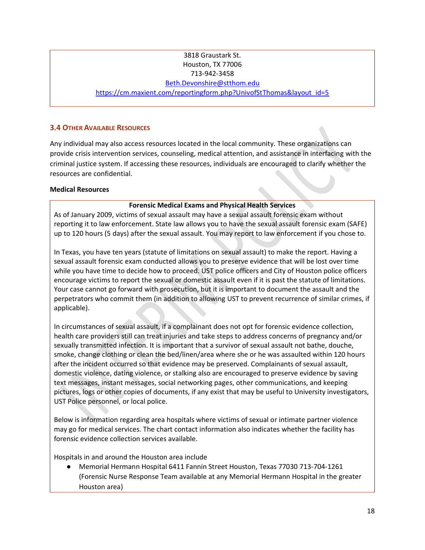#### 3818 Graustark St. Houston, TX 77006 713-942-3458

#### [Beth.Devonshire@stthom.edu](mailto:Beth.Devonshire@stthom.edu)

[https://cm.maxient.com/reportingform.php?UnivofStThomas&layout\\_id=5](https://cm.maxient.com/reportingform.php?UnivofStThomas&layout_id=5)

#### <span id="page-17-0"></span>**3.4 OTHER AVAILABLE RESOURCES**

Any individual may also access resources located in the local community. These organizations can provide crisis intervention services, counseling, medical attention, and assistance in interfacing with the criminal justice system. If accessing these resources, individuals are encouraged to clarify whether the resources are confidential.

#### **Medical Resources**

#### **Forensic Medical Exams and Physical Health Services**

As of January 2009, victims of sexual assault may have a sexual assault forensic exam without reporting it to law enforcement. State law allows you to have the sexual assault forensic exam (SAFE) up to 120 hours (5 days) after the sexual assault. You may report to law enforcement if you chose to.

In Texas, you have ten years (statute of limitations on sexual assault) to make the report. Having a sexual assault forensic exam conducted allows you to preserve evidence that will be lost over time while you have time to decide how to proceed. UST police officers and City of Houston police officers encourage victims to report the sexual or domestic assault even if it is past the statute of limitations. Your case cannot go forward with prosecution, but it is important to document the assault and the perpetrators who commit them (in addition to allowing UST to prevent recurrence of similar crimes, if applicable).

In circumstances of sexual assault, if a complainant does not opt for forensic evidence collection, health care providers still can treat injuries and take steps to address concerns of pregnancy and/or sexually transmitted infection. It is important that a survivor of sexual assault not bathe, douche, smoke, change clothing or clean the bed/linen/area where she or he was assaulted within 120 hours after the incident occurred so that evidence may be preserved. Complainants of sexual assault, domestic violence, dating violence, or stalking also are encouraged to preserve evidence by saving text messages, instant messages, social networking pages, other communications, and keeping pictures, logs or other copies of documents, if any exist that may be useful to University investigators, UST Police personnel, or local police.

Below is information regarding area hospitals where victims of sexual or intimate partner violence may go for medical services. The chart contact information also indicates whether the facility has forensic evidence collection services available.

Hospitals in and around the Houston area include

● Memorial Hermann Hospital 6411 Fannin Street Houston, Texas 77030 713-704-1261 (Forensic Nurse Response Team available at any Memorial Hermann Hospital in the greater Houston area)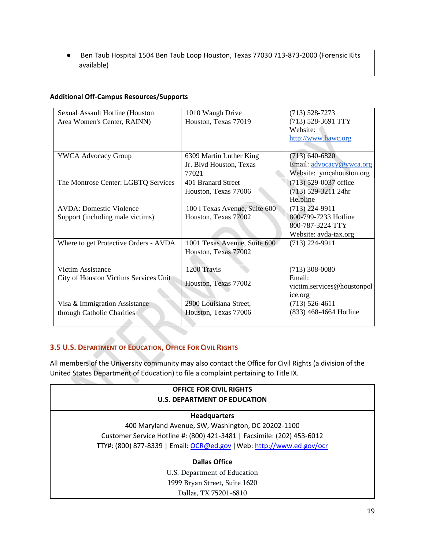● Ben Taub Hospital 1504 Ben Taub Loop Houston, Texas 77030 713-873-2000 (Forensic Kits available)

#### **Additional Off-Campus Resources/Supports**

| Sexual Assault Hotline (Houston       | 1010 Waugh Drive              | $(713) 528 - 7273$         |
|---------------------------------------|-------------------------------|----------------------------|
| Area Women's Center, RAINN)           | Houston, Texas 77019          | (713) 528-3691 TTY         |
|                                       |                               | Website:                   |
|                                       |                               | http://www.hawc.org        |
|                                       |                               |                            |
| <b>YWCA Advocacy Group</b>            | 6309 Martin Luther King       | $(713)$ 640-6820           |
|                                       | Jr. Blvd Houston, Texas       | Email: advocacy@ywca.org   |
|                                       | 77021                         | Website: ymcahouston.org   |
| The Montrose Center: LGBTQ Services   | 401 Branard Street            | $(713)$ 529-0037 office    |
|                                       | Houston, Texas 77006          | (713) 529-3211 24hr        |
|                                       |                               | Helpline                   |
| <b>AVDA: Domestic Violence</b>        | 100 1 Texas Avenue, Suite 600 | $(713)$ 224-9911           |
| Support (including male victims)      | Houston, Texas 77002          | 800-799-7233 Hotline       |
|                                       |                               | 800-787-3224 TTY           |
|                                       |                               | Website: avda-tax.org      |
| Where to get Protective Orders - AVDA | 1001 Texas Avenue, Suite 600  | $(713)$ 224-9911           |
|                                       | Houston, Texas 77002          |                            |
|                                       |                               |                            |
| Victim Assistance                     | 1200 Travis                   | $(713)$ 308-0080           |
| City of Houston Victims Services Unit |                               | Email:                     |
|                                       | Houston, Texas 77002          | victim.services@houstonpol |
|                                       |                               | ice.org                    |
| Visa & Immigration Assistance         | 2900 Louisiana Street,        | $(713)$ 526-4611           |
| through Catholic Charities            | Houston, Texas 77006          | (833) 468-4664 Hotline     |
|                                       |                               |                            |

# <span id="page-18-0"></span>**3.5 U.S. DEPARTMENT OF EDUCATION, OFFICE FOR CIVIL RIGHTS**

All members of the University community may also contact the Office for Civil Rights (a division of the United States Department of Education) to file a complaint pertaining to Title IX.

# **OFFICE FOR CIVIL RIGHTS U.S. DEPARTMENT OF EDUCATION**

#### **Headquarters**

400 Maryland Avenue, SW, Washington, DC 20202-1100 Customer Service Hotline #: (800) 421-3481 | Facsimile: (202) 453-6012 TTY#: (800) 877-8339 | Email: [OCR@ed.gov](mailto:OCR@ed.gov) | Web: [http://www.ed.gov/ocr](https://www2.ed.gov/about/offices/list/ocr/index.html)

# **Dallas Office**

U.S. Department of Education 1999 Bryan Street, Suite 1620 Dallas, TX 75201-6810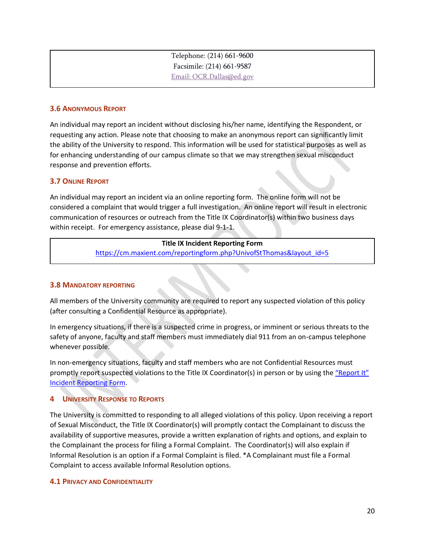| Telephone: (214) 661-9600 |
|---------------------------|
| Facsimile: (214) 661-9587 |
| Email: OCR.Dallas@ed.gov  |

#### <span id="page-19-0"></span>**3.6 ANONYMOUS REPORT**

An individual may report an incident without disclosing his/her name, identifying the Respondent, or requesting any action. Please note that choosing to make an anonymous report can significantly limit the ability of the University to respond. This information will be used for statistical purposes as well as for enhancing understanding of our campus climate so that we may strengthen sexual misconduct response and prevention efforts.

#### <span id="page-19-1"></span>**3.7 ONLINE REPORT**

An individual may report an incident via an online reporting form. The online form will not be considered a complaint that would trigger a full investigation. An online report will result in electronic communication of resources or outreach from the Title IX Coordinator(s) within two business days within receipt. For emergency assistance, please dial 9-1-1.

# **Title IX Incident Reporting Form** [https://cm.maxient.com/reportingform.php?UnivofStThomas&layout\\_id=5](https://cm.maxient.com/reportingform.php?UnivofStThomas&layout_id=5)

#### <span id="page-19-2"></span>**3.8 MANDATORY REPORTING**

All members of the University community are required to report any suspected violation of this policy (after consulting a Confidential Resource as appropriate).

In emergency situations, if there is a suspected crime in progress, or imminent or serious threats to the safety of anyone, faculty and staff members must immediately dial 911 from an on-campus telephone whenever possible.

In non-emergency situations, faculty and staff members who are not Confidential Resources must promptly report suspected violations to the Title IX Coordinator(s) in person or by using the ["Report It"](https://cm.maxient.com/reportingform.php?UnivofStThomas&layout_id=5)  [Incident Reporting Form.](https://cm.maxient.com/reportingform.php?UnivofStThomas&layout_id=5)

#### <span id="page-19-3"></span>**4 UNIVERSITY RESPONSE TO REPORTS**

The University is committed to responding to all alleged violations of this policy. Upon receiving a report of Sexual Misconduct, the Title IX Coordinator(s) will promptly contact the Complainant to discuss the availability of supportive measures, provide a written explanation of rights and options, and explain to the Complainant the process for filing a Formal Complaint. The Coordinator(s) will also explain if Informal Resolution is an option if a Formal Complaint is filed. \*A Complainant must file a Formal Complaint to access available Informal Resolution options.

#### <span id="page-19-4"></span>**4.1 PRIVACY AND CONFIDENTIALITY**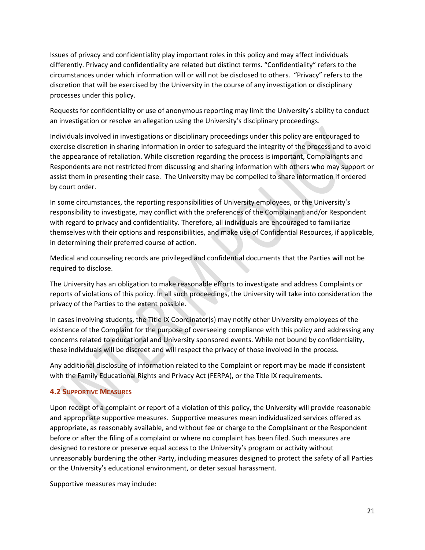Issues of privacy and confidentiality play important roles in this policy and may affect individuals differently. Privacy and confidentiality are related but distinct terms. "Confidentiality" refers to the circumstances under which information will or will not be disclosed to others. "Privacy" refers to the discretion that will be exercised by the University in the course of any investigation or disciplinary processes under this policy.

Requests for confidentiality or use of anonymous reporting may limit the University's ability to conduct an investigation or resolve an allegation using the University's disciplinary proceedings.

Individuals involved in investigations or disciplinary proceedings under this policy are encouraged to exercise discretion in sharing information in order to safeguard the integrity of the process and to avoid the appearance of retaliation. While discretion regarding the process is important, Complainants and Respondents are not restricted from discussing and sharing information with others who may support or assist them in presenting their case. The University may be compelled to share information if ordered by court order.

In some circumstances, the reporting responsibilities of University employees, or the University's responsibility to investigate, may conflict with the preferences of the Complainant and/or Respondent with regard to privacy and confidentiality. Therefore, all individuals are encouraged to familiarize themselves with their options and responsibilities, and make use of Confidential Resources, if applicable, in determining their preferred course of action.

Medical and counseling records are privileged and confidential documents that the Parties will not be required to disclose.

The University has an obligation to make reasonable efforts to investigate and address Complaints or reports of violations of this policy. In all such proceedings, the University will take into consideration the privacy of the Parties to the extent possible.

In cases involving students, the Title IX Coordinator(s) may notify other University employees of the existence of the Complaint for the purpose of overseeing compliance with this policy and addressing any concerns related to educational and University sponsored events. While not bound by confidentiality, these individuals will be discreet and will respect the privacy of those involved in the process.

Any additional disclosure of information related to the Complaint or report may be made if consistent with the Family Educational Rights and Privacy Act (FERPA), or the Title IX requirements.

# <span id="page-20-0"></span>**4.2 SUPPORTIVE MEASURES**

Upon receipt of a complaint or report of a violation of this policy, the University will provide reasonable and appropriate supportive measures. Supportive measures mean individualized services offered as appropriate, as reasonably available, and without fee or charge to the Complainant or the Respondent before or after the filing of a complaint or where no complaint has been filed. Such measures are designed to restore or preserve equal access to the University's program or activity without unreasonably burdening the other Party, including measures designed to protect the safety of all Parties or the University's educational environment, or deter sexual harassment.

Supportive measures may include: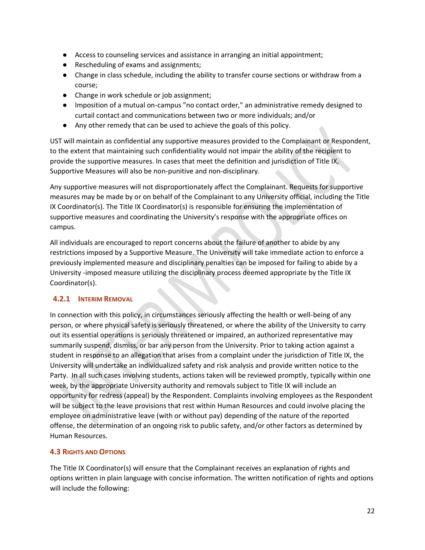- Access to counseling services and assistance in arranging an initial appointment;
- Rescheduling of exams and assignments;
- Change in class schedule, including the ability to transfer course sections or withdraw from a course;
- Change in work schedule or job assignment;
- Imposition of a mutual on-campus "no contact order," an administrative remedy designed to curtail contact and communications between two or more individuals; and/or
- Any other remedy that can be used to achieve the goals of this policy.

UST will maintain as confidential any supportive measures provided to the Complainant or Respondent, to the extent that maintaining such confidentiality would not impair the ability of the recipient to provide the supportive measures. In cases that meet the definition and jurisdiction of Title IX, Supportive Measures will also be non-punitive and non-disciplinary.

Any supportive measures will not disproportionately affect the Complainant. Requests for supportive measures may be made by or on behalf of the Complainant to any University official, including the Title IX Coordinator(s). The Title IX Coordinator(s) is responsible for ensuring the implementation of supportive measures and coordinating the University's response with the appropriate offices on campus.

All individuals are encouraged to report concerns about the failure of another to abide by any restrictions imposed by a Supportive Measure. The University will take immediate action to enforce a previously implemented measure and disciplinary penalties can be imposed for failing to abide by a University -imposed measure utilizing the disciplinary process deemed appropriate by the Title IX Coordinator(s).

# <span id="page-21-0"></span>**4.2.1 INTERIM REMOVAL**

In connection with this policy, in circumstances seriously affecting the health or well-being of any person, or where physical safety is seriously threatened, or where the ability of the University to carry out its essential operations is seriously threatened or impaired, an authorized representative may summarily suspend, dismiss, or bar any person from the University. Prior to taking action against a student in response to an allegation that arises from a complaint under the jurisdiction of Title IX, the University will undertake an individualized safety and risk analysis and provide written notice to the Party. In all such cases involving students, actions taken will be reviewed promptly, typically within one week, by the appropriate University authority and removals subject to Title IX will include an opportunity for redress (appeal) by the Respondent. Complaints involving employees as the Respondent will be subject to the leave provisions that rest within Human Resources and could involve placing the employee on administrative leave (with or without pay) depending of the nature of the reported offense, the determination of an ongoing risk to public safety, and/or other factors as determined by Human Resources.

# <span id="page-21-1"></span>**4.3 RIGHTS AND OPTIONS**

The Title IX Coordinator(s) will ensure that the Complainant receives an explanation of rights and options written in plain language with concise information. The written notification of rights and options will include the following: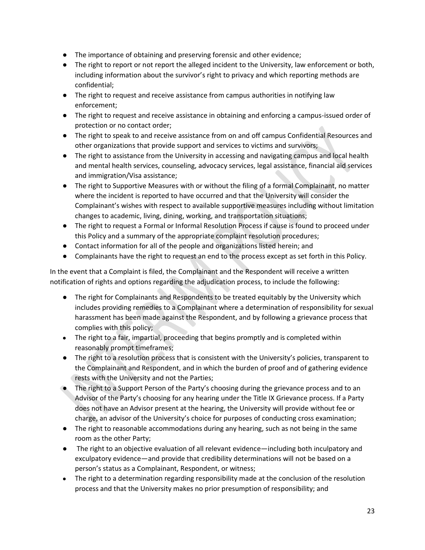- The importance of obtaining and preserving forensic and other evidence;
- The right to report or not report the alleged incident to the University, law enforcement or both, including information about the survivor's right to privacy and which reporting methods are confidential;
- The right to request and receive assistance from campus authorities in notifying law enforcement;
- The right to request and receive assistance in obtaining and enforcing a campus-issued order of protection or no contact order;
- The right to speak to and receive assistance from on and off campus Confidential Resources and other organizations that provide support and services to victims and survivors;
- The right to assistance from the University in accessing and navigating campus and local health and mental health services, counseling, advocacy services, legal assistance, financial aid services and immigration/Visa assistance;
- The right to Supportive Measures with or without the filing of a formal Complainant, no matter where the incident is reported to have occurred and that the University will consider the Complainant's wishes with respect to available supportive measures including without limitation changes to academic, living, dining, working, and transportation situations;
- The right to request a Formal or Informal Resolution Process if cause is found to proceed under this Policy and a summary of the appropriate complaint resolution procedures;
- Contact information for all of the people and organizations listed herein; and
- Complainants have the right to request an end to the process except as set forth in this Policy.

In the event that a Complaint is filed, the Complainant and the Respondent will receive a written notification of rights and options regarding the adjudication process, to include the following:

- The right for Complainants and Respondents to be treated equitably by the University which includes providing remedies to a Complainant where a determination of responsibility for sexual harassment has been made against the Respondent, and by following a grievance process that complies with this policy;
- The right to a fair, impartial, proceeding that begins promptly and is completed within reasonably prompt timeframes;
- The right to a resolution process that is consistent with the University's policies, transparent to the Complainant and Respondent, and in which the burden of proof and of gathering evidence rests with the University and not the Parties;
- The right to a Support Person of the Party's choosing during the grievance process and to an Advisor of the Party's choosing for any hearing under the Title IX Grievance process. If a Party does not have an Advisor present at the hearing, the University will provide without fee or charge, an advisor of the University's choice for purposes of conducting cross examination;
- The right to reasonable accommodations during any hearing, such as not being in the same room as the other Party;
- The right to an objective evaluation of all relevant evidence—including both inculpatory and exculpatory evidence—and provide that credibility determinations will not be based on a person's status as a Complainant, Respondent, or witness;
- The right to a determination regarding responsibility made at the conclusion of the resolution process and that the University makes no prior presumption of responsibility; and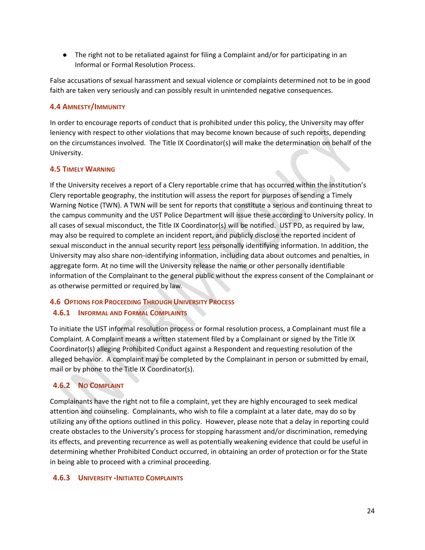● The right not to be retaliated against for filing a Complaint and/or for participating in an Informal or Formal Resolution Process.

False accusations of sexual harassment and sexual violence or complaints determined not to be in good faith are taken very seriously and can possibly result in unintended negative consequences.

# <span id="page-23-0"></span>**4.4 AMNESTY/IMMUNITY**

In order to encourage reports of conduct that is prohibited under this policy, the University may offer leniency with respect to other violations that may become known because of such reports, depending on the circumstances involved. The Title IX Coordinator(s) will make the determination on behalf of the University.

# <span id="page-23-1"></span>**4.5 TIMELY WARNING**

If the University receives a report of a Clery reportable crime that has occurred within the institution's Clery reportable geography, the institution will assess the report for purposes of sending a Timely Warning Notice (TWN). A TWN will be sent for reports that constitute a serious and continuing threat to the campus community and the UST Police Department will issue these according to University policy. In all cases of sexual misconduct, the Title IX Coordinator(s) will be notified. UST PD, as required by law, may also be required to complete an incident report, and publicly disclose the reported incident of sexual misconduct in the annual security report less personally identifying information. In addition, the University may also share non-identifying information, including data about outcomes and penalties, in aggregate form. At no time will the University release the name or other personally identifiable information of the Complainant to the general public without the express consent of the Complainant or as otherwise permitted or required by law.

# <span id="page-23-2"></span>**4.6 OPTIONS FOR PROCEEDING THROUGH UNIVERSITY PROCESS**

# <span id="page-23-3"></span>**4.6.1 INFORMAL AND FORMAL COMPLAINTS**

To initiate the UST informal resolution process or formal resolution process, a Complainant must file a Complaint. A Complaint means a written statement filed by a Complainant or signed by the Title IX Coordinator(s) alleging Prohibited Conduct against a Respondent and requesting resolution of the alleged behavior. A complaint may be completed by the Complainant in person or submitted by email, mail or by phone to the Title IX Coordinator(s).

# <span id="page-23-4"></span>**4.6.2 NO COMPLAINT**

Complainants have the right not to file a complaint, yet they are highly encouraged to seek medical attention and counseling. Complainants, who wish to file a complaint at a later date, may do so by utilizing any of the options outlined in this policy. However, please note that a delay in reporting could create obstacles to the University's process for stopping harassment and/or discrimination, remedying its effects, and preventing recurrence as well as potentially weakening evidence that could be useful in determining whether Prohibited Conduct occurred, in obtaining an order of protection or for the State in being able to proceed with a criminal proceeding.

# <span id="page-23-5"></span>**4.6.3 UNIVERSITY -INITIATED COMPLAINTS**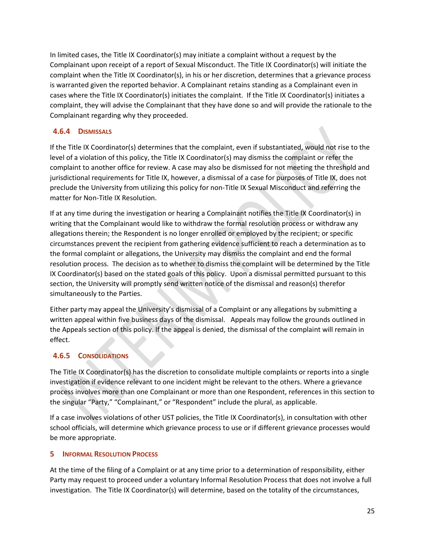In limited cases, the Title IX Coordinator(s) may initiate a complaint without a request by the Complainant upon receipt of a report of Sexual Misconduct. The Title IX Coordinator(s) will initiate the complaint when the Title IX Coordinator(s), in his or her discretion, determines that a grievance process is warranted given the reported behavior. A Complainant retains standing as a Complainant even in cases where the Title IX Coordinator(s) initiates the complaint. If the Title IX Coordinator(s) initiates a complaint, they will advise the Complainant that they have done so and will provide the rationale to the Complainant regarding why they proceeded.

# <span id="page-24-0"></span>**4.6.4 DISMISSALS**

If the Title IX Coordinator(s) determines that the complaint, even if substantiated, would not rise to the level of a violation of this policy, the Title IX Coordinator(s) may dismiss the complaint or refer the complaint to another office for review. A case may also be dismissed for not meeting the threshold and jurisdictional requirements for Title IX, however, a dismissal of a case for purposes of Title IX, does not preclude the University from utilizing this policy for non-Title IX Sexual Misconduct and referring the matter for Non-Title IX Resolution.

If at any time during the investigation or hearing a Complainant notifies the Title IX Coordinator(s) in writing that the Complainant would like to withdraw the formal resolution process or withdraw any allegations therein; the Respondent is no longer enrolled or employed by the recipient; or specific circumstances prevent the recipient from gathering evidence sufficient to reach a determination as to the formal complaint or allegations, the University may dismiss the complaint and end the formal resolution process. The decision as to whether to dismiss the complaint will be determined by the Title IX Coordinator(s) based on the stated goals of this policy. Upon a dismissal permitted pursuant to this section, the University will promptly send written notice of the dismissal and reason(s) therefor simultaneously to the Parties.

Either party may appeal the University's dismissal of a Complaint or any allegations by submitting a written appeal within five business days of the dismissal. Appeals may follow the grounds outlined in the Appeals section of this policy. If the appeal is denied, the dismissal of the complaint will remain in effect.

# <span id="page-24-1"></span>**4.6.5 CONSOLIDATIONS**

The Title IX Coordinator(s) has the discretion to consolidate multiple complaints or reports into a single investigation if evidence relevant to one incident might be relevant to the others. Where a grievance process involves more than one Complainant or more than one Respondent, references in this section to the singular "Party," "Complainant," or "Respondent" include the plural, as applicable.

If a case involves violations of other UST policies, the Title IX Coordinator(s), in consultation with other school officials, will determine which grievance process to use or if different grievance processes would be more appropriate.

# <span id="page-24-2"></span>**5 INFORMAL RESOLUTION PROCESS**

At the time of the filing of a Complaint or at any time prior to a determination of responsibility, either Party may request to proceed under a voluntary Informal Resolution Process that does not involve a full investigation. The Title IX Coordinator(s) will determine, based on the totality of the circumstances,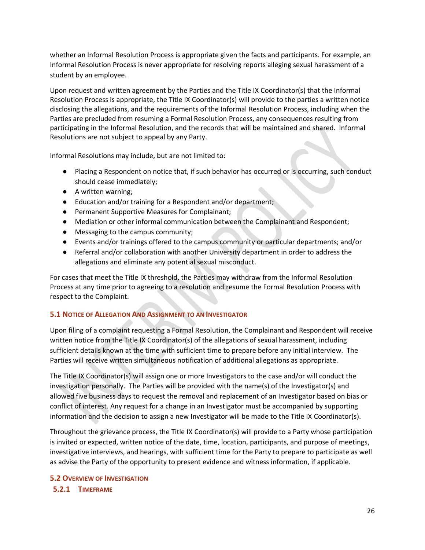whether an Informal Resolution Process is appropriate given the facts and participants. For example, an Informal Resolution Process is never appropriate for resolving reports alleging sexual harassment of a student by an employee.

Upon request and written agreement by the Parties and the Title IX Coordinator(s) that the Informal Resolution Process is appropriate, the Title IX Coordinator(s) will provide to the parties a written notice disclosing the allegations, and the requirements of the Informal Resolution Process, including when the Parties are precluded from resuming a Formal Resolution Process, any consequences resulting from participating in the Informal Resolution, and the records that will be maintained and shared. Informal Resolutions are not subject to appeal by any Party.

Informal Resolutions may include, but are not limited to:

- Placing a Respondent on notice that, if such behavior has occurred or is occurring, such conduct should cease immediately;
- A written warning;
- Education and/or training for a Respondent and/or department;
- Permanent Supportive Measures for Complainant;
- Mediation or other informal communication between the Complainant and Respondent;
- Messaging to the campus community;
- Events and/or trainings offered to the campus community or particular departments; and/or
- Referral and/or collaboration with another University department in order to address the allegations and eliminate any potential sexual misconduct.

For cases that meet the Title IX threshold, the Parties may withdraw from the Informal Resolution Process at any time prior to agreeing to a resolution and resume the Formal Resolution Process with respect to the Complaint.

# <span id="page-25-0"></span>**5.1 NOTICE OF ALLEGATION AND ASSIGNMENT TO AN INVESTIGATOR**

Upon filing of a complaint requesting a Formal Resolution, the Complainant and Respondent will receive written notice from the Title IX Coordinator(s) of the allegations of sexual harassment, including sufficient details known at the time with sufficient time to prepare before any initial interview. The Parties will receive written simultaneous notification of additional allegations as appropriate.

The Title IX Coordinator(s) will assign one or more Investigators to the case and/or will conduct the investigation personally. The Parties will be provided with the name(s) of the Investigator(s) and allowed five business days to request the removal and replacement of an Investigator based on bias or conflict of interest. Any request for a change in an Investigator must be accompanied by supporting information and the decision to assign a new Investigator will be made to the Title IX Coordinator(s).

Throughout the grievance process, the Title IX Coordinator(s) will provide to a Party whose participation is invited or expected, written notice of the date, time, location, participants, and purpose of meetings, investigative interviews, and hearings, with sufficient time for the Party to prepare to participate as well as advise the Party of the opportunity to present evidence and witness information, if applicable.

# <span id="page-25-1"></span>**5.2 OVERVIEW OF INVESTIGATION**

# <span id="page-25-2"></span>**5.2.1 TIMEFRAME**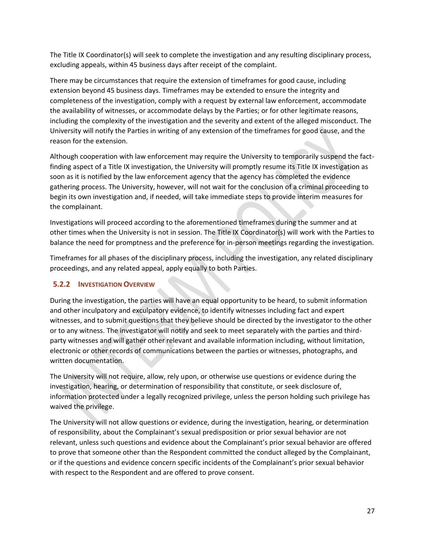The Title IX Coordinator(s) will seek to complete the investigation and any resulting disciplinary process, excluding appeals, within 45 business days after receipt of the complaint.

There may be circumstances that require the extension of timeframes for good cause, including extension beyond 45 business days. Timeframes may be extended to ensure the integrity and completeness of the investigation, comply with a request by external law enforcement, accommodate the availability of witnesses, or accommodate delays by the Parties; or for other legitimate reasons, including the complexity of the investigation and the severity and extent of the alleged misconduct. The University will notify the Parties in writing of any extension of the timeframes for good cause, and the reason for the extension.

Although cooperation with law enforcement may require the University to temporarily suspend the factfinding aspect of a Title IX investigation, the University will promptly resume its Title IX investigation as soon as it is notified by the law enforcement agency that the agency has completed the evidence gathering process. The University, however, will not wait for the conclusion of a criminal proceeding to begin its own investigation and, if needed, will take immediate steps to provide interim measures for the complainant.

Investigations will proceed according to the aforementioned timeframes during the summer and at other times when the University is not in session. The Title IX Coordinator(s) will work with the Parties to balance the need for promptness and the preference for in-person meetings regarding the investigation.

Timeframes for all phases of the disciplinary process, including the investigation, any related disciplinary proceedings, and any related appeal, apply equally to both Parties.

# <span id="page-26-0"></span>**5.2.2 INVESTIGATION OVERVIEW**

During the investigation, the parties will have an equal opportunity to be heard, to submit information and other inculpatory and exculpatory evidence, to identify witnesses including fact and expert witnesses, and to submit questions that they believe should be directed by the investigator to the other or to any witness. The investigator will notify and seek to meet separately with the parties and thirdparty witnesses and will gather other relevant and available information including, without limitation, electronic or other records of communications between the parties or witnesses, photographs, and written documentation.

The University will not require, allow, rely upon, or otherwise use questions or evidence during the investigation, hearing, or determination of responsibility that constitute, or seek disclosure of, information protected under a legally recognized privilege, unless the person holding such privilege has waived the privilege.

The University will not allow questions or evidence, during the investigation, hearing, or determination of responsibility, about the Complainant's sexual predisposition or prior sexual behavior are not relevant, unless such questions and evidence about the Complainant's prior sexual behavior are offered to prove that someone other than the Respondent committed the conduct alleged by the Complainant, or if the questions and evidence concern specific incidents of the Complainant's prior sexual behavior with respect to the Respondent and are offered to prove consent.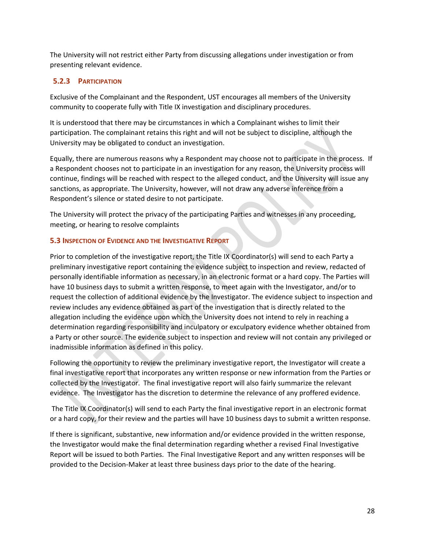The University will not restrict either Party from discussing allegations under investigation or from presenting relevant evidence.

# <span id="page-27-0"></span>**5.2.3 PARTICIPATION**

Exclusive of the Complainant and the Respondent, UST encourages all members of the University community to cooperate fully with Title IX investigation and disciplinary procedures.

It is understood that there may be circumstances in which a Complainant wishes to limit their participation. The complainant retains this right and will not be subject to discipline, although the University may be obligated to conduct an investigation.

Equally, there are numerous reasons why a Respondent may choose not to participate in the process. If a Respondent chooses not to participate in an investigation for any reason, the University process will continue, findings will be reached with respect to the alleged conduct, and the University will issue any sanctions, as appropriate. The University, however, will not draw any adverse inference from a Respondent's silence or stated desire to not participate.

The University will protect the privacy of the participating Parties and witnesses in any proceeding, meeting, or hearing to resolve complaints

# <span id="page-27-1"></span>**5.3 INSPECTION OF EVIDENCE AND THE INVESTIGATIVE REPORT**

Prior to completion of the investigative report, the Title IX Coordinator(s) will send to each Party a preliminary investigative report containing the evidence subject to inspection and review, redacted of personally identifiable information as necessary, in an electronic format or a hard copy. The Parties will have 10 business days to submit a written response, to meet again with the Investigator, and/or to request the collection of additional evidence by the Investigator. The evidence subject to inspection and review includes any evidence obtained as part of the investigation that is directly related to the allegation including the evidence upon which the University does not intend to rely in reaching a determination regarding responsibility and inculpatory or exculpatory evidence whether obtained from a Party or other source. The evidence subject to inspection and review will not contain any privileged or inadmissible information as defined in this policy.

Following the opportunity to review the preliminary investigative report, the Investigator will create a final investigative report that incorporates any written response or new information from the Parties or collected by the Investigator. The final investigative report will also fairly summarize the relevant evidence. The Investigator has the discretion to determine the relevance of any proffered evidence.

The Title IX Coordinator(s) will send to each Party the final investigative report in an electronic format or a hard copy, for their review and the parties will have 10 business days to submit a written response.

If there is significant, substantive, new information and/or evidence provided in the written response, the Investigator would make the final determination regarding whether a revised Final Investigative Report will be issued to both Parties. The Final Investigative Report and any written responses will be provided to the Decision-Maker at least three business days prior to the date of the hearing.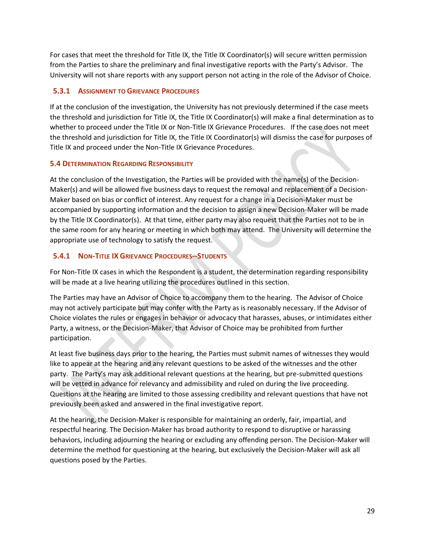For cases that meet the threshold for Title IX, the Title IX Coordinator(s) will secure written permission from the Parties to share the preliminary and final investigative reports with the Party's Advisor. The University will not share reports with any support person not acting in the role of the Advisor of Choice.

# <span id="page-28-0"></span>**5.3.1 ASSIGNMENT TO GRIEVANCE PROCEDURES**

If at the conclusion of the investigation, the University has not previously determined if the case meets the threshold and jurisdiction for Title IX, the Title IX Coordinator(s) will make a final determination as to whether to proceed under the Title IX or Non-Title IX Grievance Procedures. If the case does not meet the threshold and jurisdiction for Title IX, the Title IX Coordinator(s) will dismiss the case for purposes of Title IX and proceed under the Non-Title IX Grievance Procedures.

#### <span id="page-28-1"></span>**5.4 DETERMINATION REGARDING RESPONSIBILITY**

At the conclusion of the Investigation, the Parties will be provided with the name(s) of the Decision-Maker(s) and will be allowed five business days to request the removal and replacement of a Decision-Maker based on bias or conflict of interest. Any request for a change in a Decision-Maker must be accompanied by supporting information and the decision to assign a new Decision-Maker will be made by the Title IX Coordinator(s). At that time, either party may also request that the Parties not to be in the same room for any hearing or meeting in which both may attend. The University will determine the appropriate use of technology to satisfy the request.

# <span id="page-28-2"></span>**5.4.1 NON-TITLE IXGRIEVANCE PROCEDURES--STUDENTS**

For Non-Title IX cases in which the Respondent is a student, the determination regarding responsibility will be made at a live hearing utilizing the procedures outlined in this section.

The Parties may have an Advisor of Choice to accompany them to the hearing. The Advisor of Choice may not actively participate but may confer with the Party as is reasonably necessary. If the Advisor of Choice violates the rules or engages in behavior or advocacy that harasses, abuses, or intimidates either Party, a witness, or the Decision-Maker, that Advisor of Choice may be prohibited from further participation.

At least five business days prior to the hearing, the Parties must submit names of witnesses they would like to appear at the hearing and any relevant questions to be asked of the witnesses and the other party. The Party's may ask additional relevant questions at the hearing, but pre-submitted questions will be vetted in advance for relevancy and admissibility and ruled on during the live proceeding. Questions at the hearing are limited to those assessing credibility and relevant questions that have not previously been asked and answered in the final investigative report.

At the hearing, the Decision-Maker is responsible for maintaining an orderly, fair, impartial, and respectful hearing. The Decision-Maker has broad authority to respond to disruptive or harassing behaviors, including adjourning the hearing or excluding any offending person. The Decision-Maker will determine the method for questioning at the hearing, but exclusively the Decision-Maker will ask all questions posed by the Parties.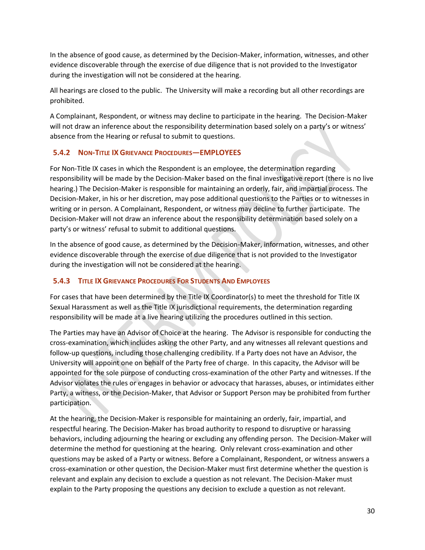In the absence of good cause, as determined by the Decision-Maker, information, witnesses, and other evidence discoverable through the exercise of due diligence that is not provided to the Investigator during the investigation will not be considered at the hearing.

All hearings are closed to the public. The University will make a recording but all other recordings are prohibited.

A Complainant, Respondent, or witness may decline to participate in the hearing. The Decision-Maker will not draw an inference about the responsibility determination based solely on a party's or witness' absence from the Hearing or refusal to submit to questions.

# <span id="page-29-0"></span>**5.4.2 NON-TITLE IXGRIEVANCE PROCEDURES—EMPLOYEES**

For Non-Title IX cases in which the Respondent is an employee, the determination regarding responsibility will be made by the Decision-Maker based on the final investigative report (there is no live hearing.) The Decision-Maker is responsible for maintaining an orderly, fair, and impartial process. The Decision-Maker, in his or her discretion, may pose additional questions to the Parties or to witnesses in writing or in person. A Complainant, Respondent, or witness may decline to further participate. The Decision-Maker will not draw an inference about the responsibility determination based solely on a party's or witness' refusal to submit to additional questions.

In the absence of good cause, as determined by the Decision-Maker, information, witnesses, and other evidence discoverable through the exercise of due diligence that is not provided to the Investigator during the investigation will not be considered at the hearing.

# <span id="page-29-1"></span>**5.4.3 TITLE IX GRIEVANCE PROCEDURES FOR STUDENTS AND EMPLOYEES**

For cases that have been determined by the Title IX Coordinator(s) to meet the threshold for Title IX Sexual Harassment as well as the Title IX jurisdictional requirements, the determination regarding responsibility will be made at a live hearing utilizing the procedures outlined in this section.

The Parties may have an Advisor of Choice at the hearing. The Advisor is responsible for conducting the cross-examination, which includes asking the other Party, and any witnesses all relevant questions and follow-up questions, including those challenging credibility. If a Party does not have an Advisor, the University will appoint one on behalf of the Party free of charge. In this capacity, the Advisor will be appointed for the sole purpose of conducting cross-examination of the other Party and witnesses. If the Advisor violates the rules or engages in behavior or advocacy that harasses, abuses, or intimidates either Party, a witness, or the Decision-Maker, that Advisor or Support Person may be prohibited from further participation.

At the hearing, the Decision-Maker is responsible for maintaining an orderly, fair, impartial, and respectful hearing. The Decision-Maker has broad authority to respond to disruptive or harassing behaviors, including adjourning the hearing or excluding any offending person. The Decision-Maker will determine the method for questioning at the hearing. Only relevant cross-examination and other questions may be asked of a Party or witness. Before a Complainant, Respondent, or witness answers a cross-examination or other question, the Decision-Maker must first determine whether the question is relevant and explain any decision to exclude a question as not relevant. The Decision-Maker must explain to the Party proposing the questions any decision to exclude a question as not relevant.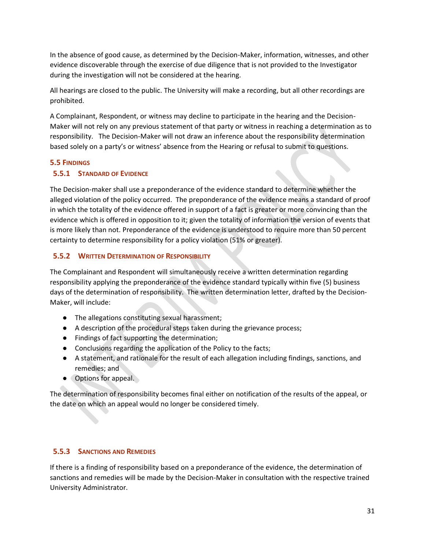In the absence of good cause, as determined by the Decision-Maker, information, witnesses, and other evidence discoverable through the exercise of due diligence that is not provided to the Investigator during the investigation will not be considered at the hearing.

All hearings are closed to the public. The University will make a recording, but all other recordings are prohibited.

A Complainant, Respondent, or witness may decline to participate in the hearing and the Decision-Maker will not rely on any previous statement of that party or witness in reaching a determination as to responsibility. The Decision-Maker will not draw an inference about the responsibility determination based solely on a party's or witness' absence from the Hearing or refusal to submit to questions.

#### <span id="page-30-0"></span>**5.5 FINDINGS**

# <span id="page-30-1"></span>**5.5.1 STANDARD OF EVIDENCE**

The Decision-maker shall use a preponderance of the evidence standard to determine whether the alleged violation of the policy occurred. The preponderance of the evidence means a standard of proof in which the totality of the evidence offered in support of a fact is greater or more convincing than the evidence which is offered in opposition to it; given the totality of information the version of events that is more likely than not. Preponderance of the evidence is understood to require more than 50 percent certainty to determine responsibility for a policy violation (51% or greater).

#### <span id="page-30-2"></span>**5.5.2 WRITTEN DETERMINATION OF RESPONSIBILITY**

The Complainant and Respondent will simultaneously receive a written determination regarding responsibility applying the preponderance of the evidence standard typically within five (5) business days of the determination of responsibility. The written determination letter, drafted by the Decision-Maker, will include:

- The allegations constituting sexual harassment;
- A description of the procedural steps taken during the grievance process;
- Findings of fact supporting the determination;
- Conclusions regarding the application of the Policy to the facts;
- A statement, and rationale for the result of each allegation including findings, sanctions, and remedies; and
- Options for appeal.

The determination of responsibility becomes final either on notification of the results of the appeal, or the date on which an appeal would no longer be considered timely.

#### <span id="page-30-3"></span>**5.5.3 SANCTIONS AND REMEDIES**

If there is a finding of responsibility based on a preponderance of the evidence, the determination of sanctions and remedies will be made by the Decision-Maker in consultation with the respective trained University Administrator.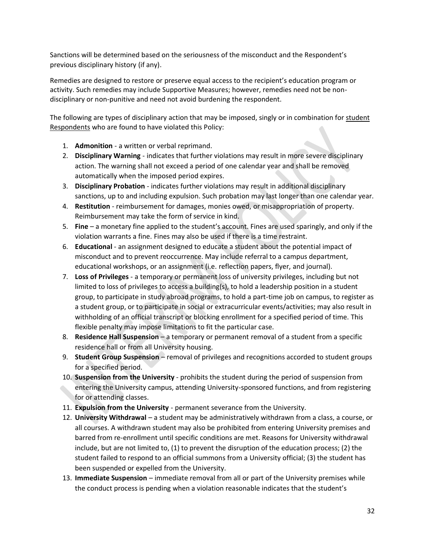Sanctions will be determined based on the seriousness of the misconduct and the Respondent's previous disciplinary history (if any).

Remedies are designed to restore or preserve equal access to the recipient's education program or activity. Such remedies may include Supportive Measures; however, remedies need not be nondisciplinary or non-punitive and need not avoid burdening the respondent.

The following are types of disciplinary action that may be imposed, singly or in combination for student Respondents who are found to have violated this Policy:

- 1. **Admonition** a written or verbal reprimand.
- 2. **Disciplinary Warning** indicates that further violations may result in more severe disciplinary action. The warning shall not exceed a period of one calendar year and shall be removed automatically when the imposed period expires.
- 3. **Disciplinary Probation** indicates further violations may result in additional disciplinary sanctions, up to and including expulsion. Such probation may last longer than one calendar year.
- 4. **Restitution**  reimbursement for damages, monies owed, or misappropriation of property. Reimbursement may take the form of service in kind.
- 5. **Fine**  a monetary fine applied to the student's account. Fines are used sparingly, and only if the violation warrants a fine. Fines may also be used if there is a time restraint.
- 6. **Educational** an assignment designed to educate a student about the potential impact of misconduct and to prevent reoccurrence. May include referral to a campus department, educational workshops, or an assignment (i.e. reflection papers, flyer, and journal).
- 7. **Loss of Privileges** a temporary or permanent loss of university privileges, including but not limited to loss of privileges to access a building(s), to hold a leadership position in a student group, to participate in study abroad programs, to hold a part-time job on campus, to register as a student group, or to participate in social or extracurricular events/activities; may also result in withholding of an official transcript or blocking enrollment for a specified period of time. This flexible penalty may impose limitations to fit the particular case.
- 8. **Residence Hall Suspension** a temporary or permanent removal of a student from a specific residence hall or from all University housing.
- 9. **Student Group Suspension** removal of privileges and recognitions accorded to student groups for a specified period.
- 10. **Suspension from the University** prohibits the student during the period of suspension from entering the University campus, attending University-sponsored functions, and from registering for or attending classes.
- 11. **Expulsion from the University** permanent severance from the University.
- 12. **University Withdrawal** a student may be administratively withdrawn from a class, a course, or all courses. A withdrawn student may also be prohibited from entering University premises and barred from re-enrollment until specific conditions are met. Reasons for University withdrawal include, but are not limited to, (1) to prevent the disruption of the education process; (2) the student failed to respond to an official summons from a University official; (3) the student has been suspended or expelled from the University.
- 13. **Immediate Suspension** immediate removal from all or part of the University premises while the conduct process is pending when a violation reasonable indicates that the student's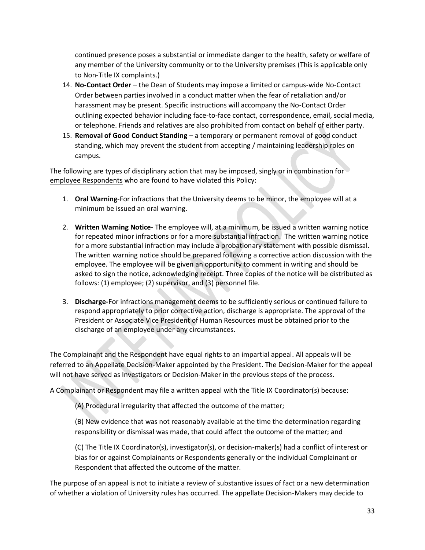continued presence poses a substantial or immediate danger to the health, safety or welfare of any member of the University community or to the University premises (This is applicable only to Non-Title IX complaints.)

- 14. **No-Contact Order** the Dean of Students may impose a limited or campus-wide No-Contact Order between parties involved in a conduct matter when the fear of retaliation and/or harassment may be present. Specific instructions will accompany the No-Contact Order outlining expected behavior including face-to-face contact, correspondence, email, social media, or telephone. Friends and relatives are also prohibited from contact on behalf of either party.
- 15. **Removal of Good Conduct Standing** a temporary or permanent removal of good conduct standing, which may prevent the student from accepting / maintaining leadership roles on campus.

The following are types of disciplinary action that may be imposed, singly or in combination for employee Respondents who are found to have violated this Policy:

- 1. **Oral Warning**-For infractions that the University deems to be minor, the employee will at a minimum be issued an oral warning.
- 2. **Written Warning Notice** The employee will, at a minimum, be issued a written warning notice for repeated minor infractions or for a more substantial infraction. The written warning notice for a more substantial infraction may include a probationary statement with possible dismissal. The written warning notice should be prepared following a corrective action discussion with the employee. The employee will be given an opportunity to comment in writing and should be asked to sign the notice, acknowledging receipt. Three copies of the notice will be distributed as follows: (1) employee; (2) supervisor, and (3) personnel file.
- 3. **Discharge-**For infractions management deems to be sufficiently serious or continued failure to respond appropriately to prior corrective action, discharge is appropriate. The approval of the President or Associate Vice President of Human Resources must be obtained prior to the discharge of an employee under any circumstances.

The Complainant and the Respondent have equal rights to an impartial appeal. All appeals will be referred to an Appellate Decision-Maker appointed by the President. The Decision-Maker for the appeal will not have served as Investigators or Decision-Maker in the previous steps of the process.

A Complainant or Respondent may file a written appeal with the Title IX Coordinator(s) because:

(A) Procedural irregularity that affected the outcome of the matter;

(B) New evidence that was not reasonably available at the time the determination regarding responsibility or dismissal was made, that could affect the outcome of the matter; and

(C) The Title IX Coordinator(s), investigator(s), or decision-maker(s) had a conflict of interest or bias for or against Complainants or Respondents generally or the individual Complainant or Respondent that affected the outcome of the matter.

The purpose of an appeal is not to initiate a review of substantive issues of fact or a new determination of whether a violation of University rules has occurred. The appellate Decision-Makers may decide to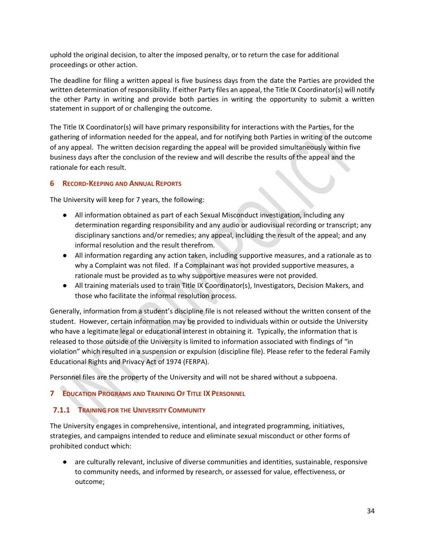uphold the original decision, to alter the imposed penalty, or to return the case for additional proceedings or other action.

The deadline for filing a written appeal is five business days from the date the Parties are provided the written determination of responsibility. If either Party files an appeal, the Title IX Coordinator(s) will notify the other Party in writing and provide both parties in writing the opportunity to submit a written statement in support of or challenging the outcome.

The Title IX Coordinator(s) will have primary responsibility for interactions with the Parties, for the gathering of information needed for the appeal, and for notifying both Parties in writing of the outcome of any appeal. The written decision regarding the appeal will be provided simultaneously within five business days after the conclusion of the review and will describe the results of the appeal and the rationale for each result.

# <span id="page-33-0"></span>**6 RECORD-KEEPING AND ANNUAL REPORTS**

The University will keep for 7 years, the following:

- All information obtained as part of each Sexual Misconduct investigation, including any determination regarding responsibility and any audio or audiovisual recording or transcript; any disciplinary sanctions and/or remedies; any appeal, including the result of the appeal; and any informal resolution and the result therefrom.
- All information regarding any action taken, including supportive measures, and a rationale as to why a Complaint was not filed. If a Complainant was not provided supportive measures, a rationale must be provided as to why supportive measures were not provided.
- All training materials used to train Title IX Coordinator(s), Investigators, Decision Makers, and those who facilitate the informal resolution process.

Generally, information from a student's discipline file is not released without the written consent of the student. However, certain information may be provided to individuals within or outside the University who have a legitimate legal or educational interest in obtaining it. Typically, the information that is released to those outside of the University is limited to information associated with findings of "in violation" which resulted in a suspension or expulsion (discipline file). Please refer to the federal Family Educational Rights and Privacy Act of 1974 (FERPA).

Personnel files are the property of the University and will not be shared without a subpoena.

# <span id="page-33-1"></span>**7 EDUCATION PROGRAMS AND TRAINING OF TITLE IX PERSONNEL**

# <span id="page-33-2"></span>**7.1.1 TRAINING FOR THE UNIVERSITY COMMUNITY**

The University engages in comprehensive, intentional, and integrated programming, initiatives, strategies, and campaigns intended to reduce and eliminate sexual misconduct or other forms of prohibited conduct which:

● are culturally relevant, inclusive of diverse communities and identities, sustainable, responsive to community needs, and informed by research, or assessed for value, effectiveness, or outcome;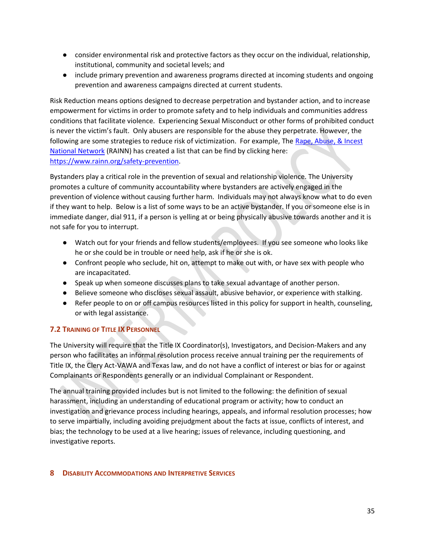- consider environmental risk and protective factors as they occur on the individual, relationship, institutional, community and societal levels; and
- include primary prevention and awareness programs directed at incoming students and ongoing prevention and awareness campaigns directed at current students.

Risk Reduction means options designed to decrease perpetration and bystander action, and to increase empowerment for victims in order to promote safety and to help individuals and communities address conditions that facilitate violence. Experiencing Sexual Misconduct or other forms of prohibited conduct is never the victim's fault. Only abusers are responsible for the abuse they perpetrate. However, the following are some strategies to reduce risk of victimization. For example, The Rape, Abuse, & Incest [National Network](http://www.rainn.org/) (RAINN) has created a list that can be find by clicking here: [https://www.rainn.org/safety-prevention.](https://www.rainn.org/safety-prevention)

Bystanders play a critical role in the prevention of sexual and relationship violence. The University promotes a culture of community accountability where bystanders are actively engaged in the prevention of violence without causing further harm. Individuals may not always know what to do even if they want to help. Below is a list of some ways to be an active bystander. If you or someone else is in immediate danger, dial 911, if a person is yelling at or being physically abusive towards another and it is not safe for you to interrupt.

- Watch out for your friends and fellow students/employees. If you see someone who looks like he or she could be in trouble or need help, ask if he or she is ok.
- Confront people who seclude, hit on, attempt to make out with, or have sex with people who are incapacitated.
- Speak up when someone discusses plans to take sexual advantage of another person.
- Believe someone who discloses sexual assault, abusive behavior, or experience with stalking.
- Refer people to on or off campus resources listed in this policy for support in health, counseling, or with legal assistance.

# <span id="page-34-0"></span>**7.2 TRAINING OF TITLE IX PERSONNEL**

The University will require that the Title IX Coordinator(s), Investigators, and Decision-Makers and any person who facilitates an informal resolution process receive annual training per the requirements of Title IX, the Clery Act-VAWA and Texas law, and do not have a conflict of interest or bias for or against Complainants or Respondents generally or an individual Complainant or Respondent.

The annual training provided includes but is not limited to the following: the definition of sexual harassment, including an understanding of educational program or activity; how to conduct an investigation and grievance process including hearings, appeals, and informal resolution processes; how to serve impartially, including avoiding prejudgment about the facts at issue, conflicts of interest, and bias; the technology to be used at a live hearing; issues of relevance, including questioning, and investigative reports.

# <span id="page-34-1"></span>**8 DISABILITY ACCOMMODATIONS AND INTERPRETIVE SERVICES**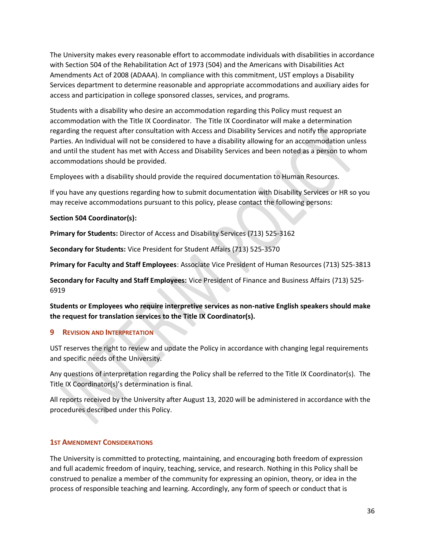The University makes every reasonable effort to accommodate individuals with disabilities in accordance with Section 504 of the Rehabilitation Act of 1973 (504) and the Americans with Disabilities Act Amendments Act of 2008 (ADAAA). In compliance with this commitment, UST employs a Disability Services department to determine reasonable and appropriate accommodations and auxiliary aides for access and participation in college sponsored classes, services, and programs.

Students with a disability who desire an accommodation regarding this Policy must request an accommodation with the Title IX Coordinator. The Title IX Coordinator will make a determination regarding the request after consultation with Access and Disability Services and notify the appropriate Parties. An Individual will not be considered to have a disability allowing for an accommodation unless and until the student has met with Access and Disability Services and been noted as a person to whom accommodations should be provided.

Employees with a disability should provide the required documentation to Human Resources.

If you have any questions regarding how to submit documentation with Disability Services or HR so you may receive accommodations pursuant to this policy, please contact the following persons:

#### **Section 504 Coordinator(s):**

**Primary for Students:** Director of Access and Disability Services (713) 525-3162

**Secondary for Students:** Vice President for Student Affairs (713) 525-3570

**Primary for Faculty and Staff Employees**: Associate Vice President of Human Resources (713) 525-3813

**Secondary for Faculty and Staff Employees:** Vice President of Finance and Business Affairs (713) 525- 6919

**Students or Employees who require interpretive services as non-native English speakers should make the request for translation services to the Title IX Coordinator(s).**

# <span id="page-35-0"></span>**9 REVISION AND INTERPRETATION**

UST reserves the right to review and update the Policy in accordance with changing legal requirements and specific needs of the University.

Any questions of interpretation regarding the Policy shall be referred to the Title IX Coordinator(s). The Title IX Coordinator(s)'s determination is final.

All reports received by the University after August 13, 2020 will be administered in accordance with the procedures described under this Policy.

# <span id="page-35-1"></span>**1ST AMENDMENT CONSIDERATIONS**

The University is committed to protecting, maintaining, and encouraging both freedom of expression and full academic freedom of inquiry, teaching, service, and research. Nothing in this Policy shall be construed to penalize a member of the community for expressing an opinion, theory, or idea in the process of responsible teaching and learning. Accordingly, any form of speech or conduct that is